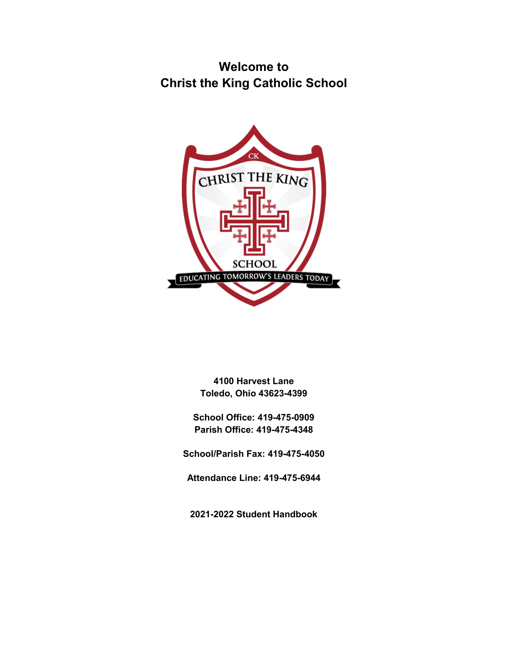# **Welcome to Christ the King Catholic School**



**4100 Harvest Lane Toledo, Ohio 43623-4399**

**School Office: 419-475-0909 Parish Office: 419-475-4348**

**School/Parish Fax: 419-475-4050**

**Attendance Line: 419-475-6944**

**2021-2022 Student Handbook**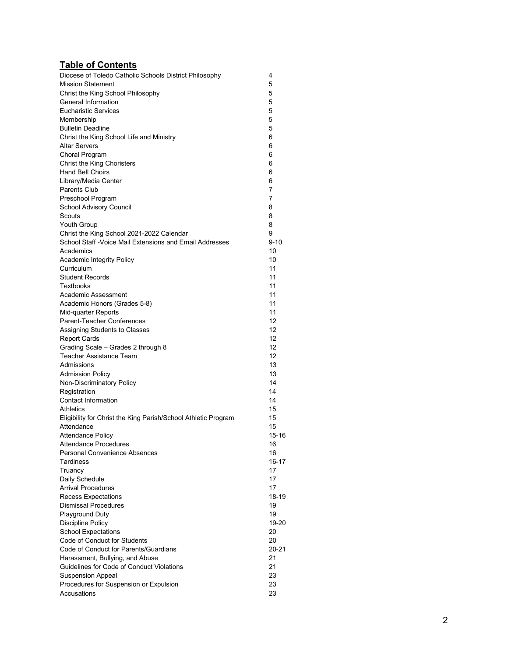# **Table of Contents**

| Diocese of Toledo Catholic Schools District Philosophy         | 4         |
|----------------------------------------------------------------|-----------|
| <b>Mission Statement</b>                                       | 5         |
| Christ the King School Philosophy                              | 5         |
| General Information                                            | 5         |
| <b>Eucharistic Services</b>                                    | 5         |
| Membership                                                     | 5         |
| <b>Bulletin Deadline</b>                                       | 5         |
| Christ the King School Life and Ministry                       | 6         |
| <b>Altar Servers</b>                                           | 6         |
| Choral Program                                                 | 6         |
| <b>Christ the King Choristers</b>                              | 6         |
| <b>Hand Bell Choirs</b>                                        | 6         |
| Library/Media Center                                           | 6         |
| <b>Parents Club</b>                                            | 7         |
| Preschool Program                                              | 7         |
| School Advisory Council                                        | 8         |
| Scouts                                                         | 8         |
| <b>Youth Group</b>                                             | 8         |
| Christ the King School 2021-2022 Calendar                      | 9         |
| School Staff - Voice Mail Extensions and Email Addresses       | $9 - 10$  |
| Academics                                                      | 10        |
| Academic Integrity Policy                                      | 10        |
| Curriculum                                                     | 11        |
| <b>Student Records</b><br><b>Textbooks</b>                     | 11<br>11  |
|                                                                | 11        |
| Academic Assessment                                            | 11        |
| Academic Honors (Grades 5-8)<br>Mid-quarter Reports            | 11        |
| Parent-Teacher Conferences                                     | 12        |
| Assigning Students to Classes                                  | 12        |
| <b>Report Cards</b>                                            | 12        |
| Grading Scale - Grades 2 through 8                             | 12        |
| <b>Teacher Assistance Team</b>                                 | 12        |
| Admissions                                                     | 13        |
| <b>Admission Policy</b>                                        | 13        |
| Non-Discriminatory Policy                                      | 14        |
| Registration                                                   | 14        |
| Contact Information                                            | 14        |
| Athletics                                                      | 15        |
| Eligibility for Christ the King Parish/School Athletic Program | 15        |
| Attendance                                                     | 15        |
| <b>Attendance Policy</b>                                       | 15-16     |
| <b>Attendance Procedures</b>                                   | 16        |
| <b>Personal Convenience Absences</b>                           | 16        |
| <b>Tardiness</b>                                               | 16-17     |
| Truancy                                                        | 17        |
| Daily Schedule                                                 | 17        |
| <b>Arrival Procedures</b>                                      | 17        |
| <b>Recess Expectations</b>                                     | 18-19     |
| <b>Dismissal Procedures</b>                                    | 19        |
| <b>Playground Duty</b>                                         | 19        |
| Discipline Policy                                              | 19-20     |
| <b>School Expectations</b>                                     | 20        |
| Code of Conduct for Students                                   | 20        |
| Code of Conduct for Parents/Guardians                          | $20 - 21$ |
| Harassment, Bullying, and Abuse                                | 21        |
| Guidelines for Code of Conduct Violations                      | 21        |
| <b>Suspension Appeal</b>                                       | 23        |
| Procedures for Suspension or Expulsion                         | 23        |
| Accusations                                                    | 23        |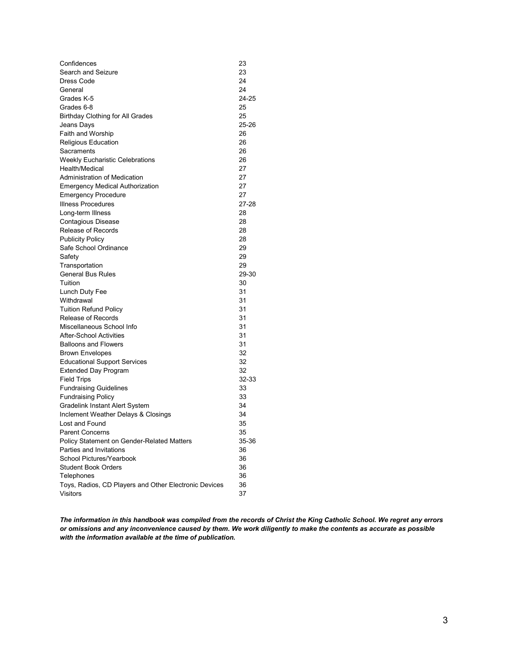| Confidences                                           | 23        |
|-------------------------------------------------------|-----------|
| Search and Seizure                                    | 23        |
| Dress Code                                            | 24        |
| General                                               | 24        |
| Grades K-5                                            | 24-25     |
| Grades 6-8                                            | 25        |
| <b>Birthday Clothing for All Grades</b>               | 25        |
| Jeans Days                                            | 25-26     |
| Faith and Worship                                     | 26        |
| Religious Education                                   | 26        |
| Sacraments                                            | 26        |
| <b>Weekly Eucharistic Celebrations</b>                | 26        |
| Health/Medical                                        | 27        |
| <b>Administration of Medication</b>                   | 27        |
| <b>Emergency Medical Authorization</b>                | 27        |
| <b>Emergency Procedure</b>                            | 27        |
| <b>Illness Procedures</b>                             | $27 - 28$ |
| Long-term Illness                                     | 28        |
| Contagious Disease                                    | 28        |
| Release of Records                                    | 28        |
| <b>Publicity Policy</b>                               | 28        |
| Safe School Ordinance                                 | 29        |
| Safety                                                | 29        |
| Transportation                                        | 29        |
| <b>General Bus Rules</b>                              | 29-30     |
| Tuition                                               | 30        |
| Lunch Duty Fee                                        | 31        |
| Withdrawal                                            | 31        |
| <b>Tuition Refund Policy</b>                          | 31        |
| <b>Release of Records</b>                             | 31        |
| Miscellaneous School Info                             | 31        |
| <b>After-School Activities</b>                        | 31        |
| <b>Balloons and Flowers</b>                           | 31        |
| <b>Brown Envelopes</b>                                | 32        |
| <b>Educational Support Services</b>                   | 32        |
| <b>Extended Day Program</b>                           | 32        |
| <b>Field Trips</b>                                    | 32-33     |
| <b>Fundraising Guidelines</b>                         | 33        |
| <b>Fundraising Policy</b>                             | 33        |
| Gradelink Instant Alert System                        | 34        |
| Inclement Weather Delays & Closings                   | 34        |
| Lost and Found                                        | 35        |
| <b>Parent Concerns</b>                                | 35        |
| Policy Statement on Gender-Related Matters            | 35-36     |
| Parties and Invitations                               | 36        |
| <b>School Pictures/Yearbook</b>                       | 36        |
| <b>Student Book Orders</b>                            | 36        |
| Telephones                                            | 36        |
| Toys, Radios, CD Players and Other Electronic Devices | 36        |
| <b>Visitors</b>                                       | 37        |

*The information in this handbook was compiled from the records of Christ the King Catholic School. We regret any errors or omissions and any inconvenience caused by them. We work diligently to make the contents as accurate as possible with the information available at the time of publication.*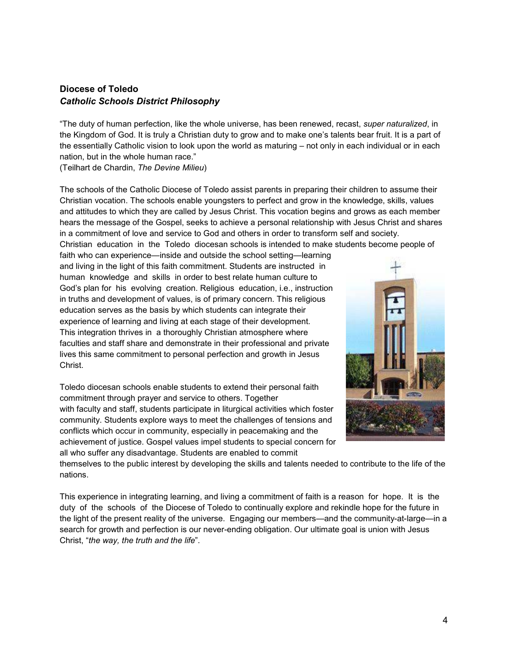# **Diocese of Toledo** *Catholic Schools District Philosophy*

"The duty of human perfection, like the whole universe, has been renewed, recast, *super naturalized*, in the Kingdom of God. It is truly a Christian duty to grow and to make one's talents bear fruit. It is a part of the essentially Catholic vision to look upon the world as maturing – not only in each individual or in each nation, but in the whole human race."

(Teilhart de Chardin, *The Devine Milieu*)

The schools of the Catholic Diocese of Toledo assist parents in preparing their children to assume their Christian vocation. The schools enable youngsters to perfect and grow in the knowledge, skills, values and attitudes to which they are called by Jesus Christ. This vocation begins and grows as each member hears the message of the Gospel, seeks to achieve a personal relationship with Jesus Christ and shares in a commitment of love and service to God and others in order to transform self and society.

Christian education in the Toledo diocesan schools is intended to make students become people of faith who can experience—inside and outside the school setting—learning and living in the light of this faith commitment. Students are instructed in human knowledge and skills in order to best relate human culture to God's plan for his evolving creation. Religious education, i.e., instruction in truths and development of values, is of primary concern. This religious education serves as the basis by which students can integrate their experience of learning and living at each stage of their development. This integration thrives in a thoroughly Christian atmosphere where faculties and staff share and demonstrate in their professional and private lives this same commitment to personal perfection and growth in Jesus Christ.

Toledo diocesan schools enable students to extend their personal faith commitment through prayer and service to others. Together with faculty and staff, students participate in liturgical activities which foster community. Students explore ways to meet the challenges of tensions and conflicts which occur in community, especially in peacemaking and the achievement of justice. Gospel values impel students to special concern for all who suffer any disadvantage. Students are enabled to commit



themselves to the public interest by developing the skills and talents needed to contribute to the life of the nations.

This experience in integrating learning, and living a commitment of faith is a reason for hope. It is the duty of the schools of the Diocese of Toledo to continually explore and rekindle hope for the future in the light of the present reality of the universe. Engaging our members—and the community-at-large—in a search for growth and perfection is our never-ending obligation. Our ultimate goal is union with Jesus Christ, "*the way, the truth and the life*".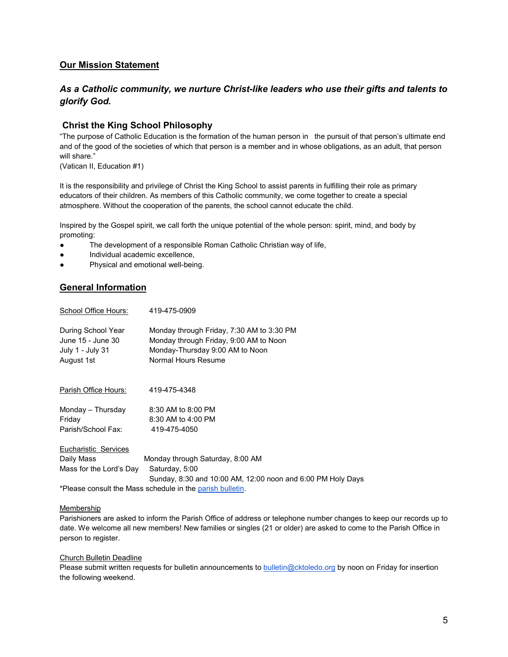# **Our Mission Statement**

# *As a Catholic community, we nurture Christ-like leaders who use their gifts and talents to glorify God.*

# **Christ the King School Philosophy**

"The purpose of Catholic Education is the formation of the human person in the pursuit of that person's ultimate end and of the good of the societies of which that person is a member and in whose obligations, as an adult, that person will share."

(Vatican II, Education #1)

It is the responsibility and privilege of Christ the King School to assist parents in fulfilling their role as primary educators of their children. As members of this Catholic community, we come together to create a special atmosphere. Without the cooperation of the parents, the school cannot educate the child.

Inspired by the Gospel spirit, we call forth the unique potential of the whole person: spirit, mind, and body by promoting:

- The development of a responsible Roman Catholic Christian way of life,
- Individual academic excellence,
- Physical and emotional well-being.

# **General Information**

| School Office Hours:                                                      | 419-475-0909                                                                                                                                  |
|---------------------------------------------------------------------------|-----------------------------------------------------------------------------------------------------------------------------------------------|
| During School Year<br>June 15 - June 30<br>July 1 - July 31<br>August 1st | Monday through Friday, 7:30 AM to 3:30 PM<br>Monday through Friday, 9:00 AM to Noon<br>Monday-Thursday 9:00 AM to Noon<br>Normal Hours Resume |
| <u> Parish Office Hours:</u>                                              | 419-475-4348                                                                                                                                  |
| Monday – Thursday                                                         | 8:30 AM to 8:00 PM                                                                                                                            |
| Friday                                                                    | 8:30 AM to 4:00 PM                                                                                                                            |
| Parish/School Fax:                                                        | 419-475-4050                                                                                                                                  |
| Eucharistic Services                                                      |                                                                                                                                               |
| Daily Mass                                                                | Monday through Saturday, 8:00 AM                                                                                                              |
| Mass for the Lord's Day                                                   | Saturday, 5:00                                                                                                                                |
|                                                                           | Sunday, 8:30 and 10:00 AM, 12:00 noon and 6:00 PM Holy Days                                                                                   |
|                                                                           |                                                                                                                                               |

\*Please consult the Mass schedule in th[e parish bulletin.](https://www.cktoledo.org/bulletins)

#### Membership

Parishioners are asked to inform the Parish Office of address or telephone number changes to keep our records up to date. We welcome all new members! New families or singles (21 or older) are asked to come to the Parish Office in person to register.

#### Church Bulletin Deadline

Please submit written requests for bulletin announcements t[o bulletin@cktoledo.org](mailto:bulletin@cktoledo.org) by noon on Friday for insertion the following weekend.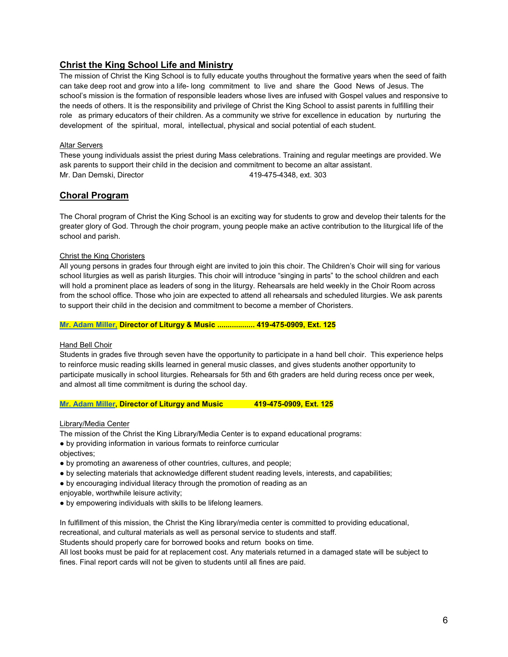# **Christ the King School Life and Ministry**

The mission of Christ the King School is to fully educate youths throughout the formative years when the seed of faith can take deep root and grow into a life- long commitment to live and share the Good News of Jesus. The school's mission is the formation of responsible leaders whose lives are infused with Gospel values and responsive to the needs of others. It is the responsibility and privilege of Christ the King School to assist parents in fulfilling their role as primary educators of their children. As a community we strive for excellence in education by nurturing the development of the spiritual, moral, intellectual, physical and social potential of each student.

# Altar Servers

These young individuals assist the priest during Mass celebrations. Training and regular meetings are provided. We ask parents to support their child in the decision and commitment to become an altar assistant. Mr. Dan Demski, Director 419-475-4348, ext. 303

# **Choral Program**

The Choral program of Christ the King School is an exciting way for students to grow and develop their talents for the greater glory of God. Through the choir program, young people make an active contribution to the liturgical life of the school and parish.

# Christ the King Choristers

All young persons in grades four through eight are invited to join this choir. The Children's Choir will sing for various school liturgies as well as parish liturgies. This choir will introduce "singing in parts" to the school children and each will hold a prominent place as leaders of song in the liturgy. Rehearsals are held weekly in the Choir Room across from the school office. Those who join are expected to attend all rehearsals and scheduled liturgies. We ask parents to support their child in the decision and commitment to become a member of Choristers.

### **[Mr. Adam Miller,](mailto:amiller@cktoledo.org) Director of Liturgy & Music .................. 419-475-0909, Ext. 125**

# Hand Bell Choir

Students in grades five through seven have the opportunity to participate in a hand bell choir. This experience helps to reinforce music reading skills learned in general music classes, and gives students another opportunity to participate musically in school liturgies. Rehearsals for 5th and 6th graders are held during recess once per week, and almost all time commitment is during the school day.

# **[Mr. Adam Miller,](mailto:amiller@cktoledo.org) Director of Liturgy and Music 419-475-0909, Ext. 125**

Library/Media Center

The mission of the Christ the King Library/Media Center is to expand educational programs:

● by providing information in various formats to reinforce curricular

- objectives;
- by promoting an awareness of other countries, cultures, and people;
- by selecting materials that acknowledge different student reading levels, interests, and capabilities;
- by encouraging individual literacy through the promotion of reading as an
- enjoyable, worthwhile leisure activity;
- by empowering individuals with skills to be lifelong learners.

In fulfillment of this mission, the Christ the King library/media center is committed to providing educational,

recreational, and cultural materials as well as personal service to students and staff.

Students should properly care for borrowed books and return books on time.

All lost books must be paid for at replacement cost. Any materials returned in a damaged state will be subject to fines. Final report cards will not be given to students until all fines are paid.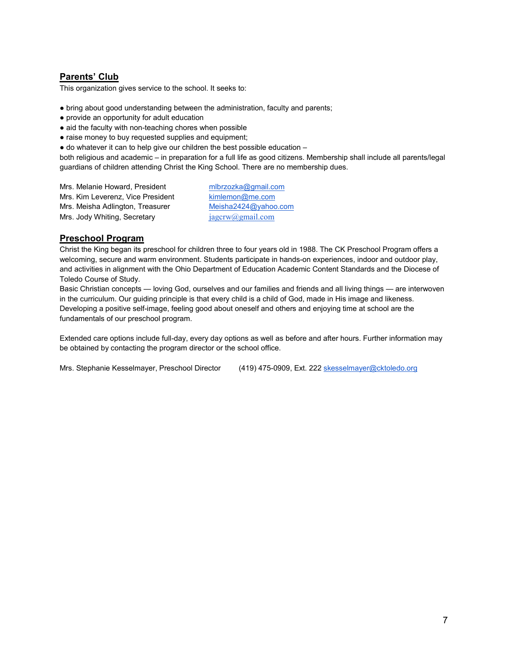# **Parents' Club**

This organization gives service to the school. It seeks to:

- bring about good understanding between the administration, faculty and parents;
- provide an opportunity for adult education
- aid the faculty with non-teaching chores when possible
- raise money to buy requested supplies and equipment;
- $\bullet$  do whatever it can to help give our children the best possible education  $-$

both religious and academic – in preparation for a full life as good citizens. Membership shall include all parents/legal guardians of children attending Christ the King School. There are no membership dues.

Mrs. Melanie Howard, President [mlbrzozka@gmail.com](mailto:mlbrzozka@gmail.com) Mrs. Kim Leverenz, Vice President [kimlemon@me.com](mailto:kimlemon@me.com) Mrs. Meisha Adlington, Treasurer [Meisha2424@yahoo.com](mailto:Meisha2424@yahoo.com) Mrs. Jody Whiting, Secretary  $j$ agcrw $@g$ mail.com

# **Preschool Program**

Christ the King began its preschool for children three to four years old in 1988. The CK Preschool Program offers a welcoming, secure and warm environment. Students participate in hands-on experiences, indoor and outdoor play, and activities in alignment with the Ohio Department of Education Academic Content Standards and the Diocese of Toledo Course of Study.

Basic Christian concepts — loving God, ourselves and our families and friends and all living things — are interwoven in the curriculum. Our guiding principle is that every child is a child of God, made in His image and likeness. Developing a positive self-image, feeling good about oneself and others and enjoying time at school are the fundamentals of our preschool program.

Extended care options include full-day, every day options as well as before and after hours. Further information may be obtained by contacting the program director or the school office.

Mrs. Stephanie Kesselmayer, Preschool Director (419) 475-0909, Ext. 222 [skesselmayer@cktoledo.org](mailto:skesselmayer@cktoledo.org)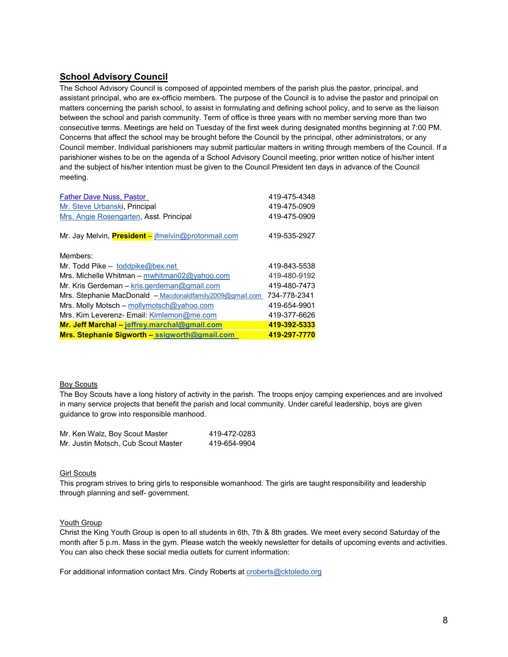# **School Advisory Council**

The School Advisory Council is composed of appointed members of the parish plus the pastor, principal, and assistant principal, who are ex-officio members. The purpose of the Council is to advise the pastor and principal on matters concerning the parish school, to assist in formulating and defining school policy, and to serve as the liaison between the school and parish community. Term of office is three years with no member serving more than two consecutive terms. Meetings are held on Tuesday of the first week during designated months beginning at 7:00 PM. Concerns that affect the school may be brought before the Council by the principal, other administrators, or any Council member. Individual parishioners may submit particular matters in writing through members of the Council. If a parishioner wishes to be on the agenda of a School Advisory Council meeting, prior written notice of his/her intent and the subject of his/her intention must be given to the Council President ten days in advance of the Council meeting.

| <b>Father Dave Nuss, Pastor</b>                            | 419-475-4348 |
|------------------------------------------------------------|--------------|
| Mr. Steve Urbanski, Principal                              | 419-475-0909 |
| Mrs. Angie Rosengarten, Asst. Principal                    | 419-475-0909 |
| Mr. Jay Melvin, <b>President</b> - jfmelvin@protonmail.com | 419-535-2927 |
| Members:                                                   |              |
| Mr. Todd Pike - toddpike@bex.net                           | 419-843-5538 |
| Mrs. Michelle Whitman – mwhitman02@yahoo.com               | 419-480-9192 |
| Mr. Kris Gerdeman – kris.gerdeman@gmail.com                | 419-480-7473 |
| Mrs. Stephanie MacDonald - Macdonaldfamily2009@gmail.com   | 734-778-2341 |
| Mrs. Molly Motsch - mollymotsch@yahoo.com                  | 419-654-9901 |
| Mrs. Kim Leverenz- Email: Kimlemon@me.com                  | 419-377-6626 |
| Mr. Jeff Marchal - jeffrey.marchal@gmail.com               | 419-392-5333 |
| Mrs. Stephanie Sigworth - ssigworth@gmail.com              | 419-297-7770 |

# Boy Scouts

The Boy Scouts have a long history of activity in the parish. The troops enjoy camping experiences and are involved in many service projects that benefit the parish and local community. Under careful leadership, boys are given guidance to grow into responsible manhood.

| Mr. Ken Walz, Boy Scout Master      | 419-472-0283 |
|-------------------------------------|--------------|
| Mr. Justin Motsch, Cub Scout Master | 419-654-9904 |

#### Girl Scouts

This program strives to bring girls to responsible womanhood. The girls are taught responsibility and leadership through planning and self- government.

#### Youth Group

Christ the King Youth Group is open to all students in 6th, 7th & 8th grades. We meet every second Saturday of the month after 5 p.m. Mass in the gym. Please watch the weekly newsletter for details of upcoming events and activities. You can also check these social media outlets for current information:

For additional information contact Mrs. Cindy Roberts at [croberts@cktoledo.org](mailto:croberts@cktoledo.org)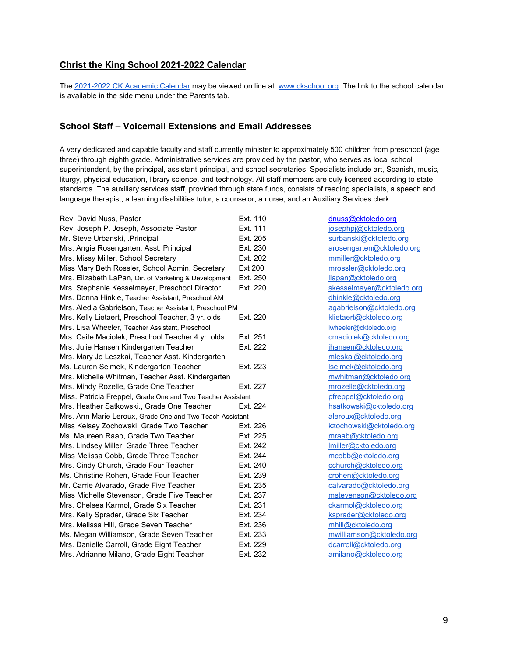# **Christ the King School 2021-2022 Calendar**

The [2021-2022 CK Academic Calendar](https://www.ckschool.org/images/2021-2022FORMS/Christ_the_King_2021-2022_Calendar.pdf) may be viewed on line at[: www.ckschool.org.](http://www.ckschool.org/) The link to the school calendar is available in the side menu under the Parents tab.

# **School Staff – Voicemail Extensions and Email Addresses**

A very dedicated and capable faculty and staff currently minister to approximately 500 children from preschool (age three) through eighth grade. Administrative services are provided by the pastor, who serves as local school superintendent, by the principal, assistant principal, and school secretaries. Specialists include art, Spanish, music, liturgy, physical education, library science, and technology. All staff members are duly licensed according to state standards. The auxiliary services staff, provided through state funds, consists of reading specialists, a speech and language therapist, a learning disabilities tutor, a counselor, a nurse, and an Auxiliary Services clerk.

| Rev. David Nuss, Pastor                                     | Ext. 110       |
|-------------------------------------------------------------|----------------|
| Rev. Joseph P. Joseph, Associate Pastor                     | Ext. 111       |
| Mr. Steve Urbanski, .Principal                              | Ext. 205       |
| Mrs. Angie Rosengarten, Asst. Principal                     | Ext. 230       |
| Mrs. Missy Miller, School Secretary                         | Ext. 202       |
| Miss Mary Beth Rossler, School Admin. Secretary             | <b>Ext 200</b> |
| Mrs. Elizabeth LaPan, Dir. of Marketing & Development       | Ext. 250       |
| Mrs. Stephanie Kesselmayer, Preschool Director              | Ext. 220       |
| Mrs. Donna Hinkle, Teacher Assistant, Preschool AM          |                |
| Mrs. Aledia Gabrielson, Teacher Assistant, Preschool PM     |                |
| Mrs. Kelly Lietaert, Preschool Teacher, 3 yr. olds          | Ext. 220       |
| Mrs. Lisa Wheeler, Teacher Assistant, Preschool             |                |
| Mrs. Caite Maciolek, Preschool Teacher 4 yr. olds           | Ext. 251       |
| Mrs. Julie Hansen Kindergarten Teacher                      | Ext. 222       |
| Mrs. Mary Jo Leszkai, Teacher Asst. Kindergarten            |                |
| Ms. Lauren Selmek, Kindergarten Teacher                     | Ext. 223       |
| Mrs. Michelle Whitman, Teacher Asst. Kindergarten           |                |
| Mrs. Mindy Rozelle, Grade One Teacher                       | Ext. 227       |
| Miss. Patricia Freppel, Grade One and Two Teacher Assistant |                |
| Mrs. Heather Satkowski., Grade One Teacher                  | Ext. 224       |
| Mrs. Ann Marie Leroux, Grade One and Two Teach Assistant    |                |
| Miss Kelsey Zochowski, Grade Two Teacher                    | Ext. 226       |
| Ms. Maureen Raab, Grade Two Teacher                         | Ext. 225       |
| Mrs. Lindsey Miller, Grade Three Teacher                    | Ext. 242       |
| Miss Melissa Cobb, Grade Three Teacher                      | Ext. 244       |
| Mrs. Cindy Church, Grade Four Teacher                       | Ext. 240       |
| Ms. Christine Rohen. Grade Four Teacher                     | Ext. 239       |
| Mr. Carrie Alvarado, Grade Five Teacher                     | Ext. 235       |
| Miss Michelle Stevenson, Grade Five Teacher                 | Ext. 237       |
| Mrs. Chelsea Karmol, Grade Six Teacher                      | Ext. 231       |
| Mrs. Kelly Sprader, Grade Six Teacher                       | Ext. 234       |
| Mrs. Melissa Hill, Grade Seven Teacher                      | Ext. 236       |
| Ms. Megan Williamson, Grade Seven Teacher                   | Ext. 233       |
| Mrs. Danielle Carroll, Grade Eight Teacher                  | Ext. 229       |
| Mrs. Adrianne Milano, Grade Eight Teacher                   | Ext. 232       |

[dnuss@cktoledo.org](mailto:dnuss@cktoledo.org) [josephpj@cktoledo.org](mailto:josephpj@cktoledo.org) [surbanski@cktoledo.org](mailto:surbanski@cktoledo.org) [arosengarten@cktoledo.org](mailto:arosengarten@cktoledo.org) [mmiller@cktoledo.org](mailto:mmiller@cktoledo.org) [mrossler@cktoledo.org](mailto:mrossler@cktoledo.org)  $llapan@cktoledo.org$ [skesselmayer@cktoledo.org](mailto:skesselmayer@cktoledo.org) [dhinkle@cktoledo.org](mailto:dhinkle@cktoledo.org) [agabrielson@cktoledo.org](mailto:agabrielson@cktoledo.org) [klietaert@cktoledo.org](mailto:klietaert@cktoledo.org) [lwheeler@cktoledo.org](mailto:lwheeler@cktoledo.org) [cmaciolek@cktoledo.org](mailto:cmaciolek@cktoledo.org) [jhansen@cktoledo.org](mailto:jhansen@cktoledo.org) [mleskai@cktoledo.org](mailto:mleskai@cktoledo.org) [lselmek@cktoledo.org](mailto:lselmek@cktoledo.org) mwhitman@cktoledo.org [mrozelle@cktoledo.org](mailto:mrozelle@cktoledo.org) [pfreppel@cktoledo.org](mailto:pfreppel@cktoledo.org) [hsatkowski@cktoledo.org](mailto:hsatkowski@cktoledo.org) [aleroux@cktoledo.org](mailto:aleroux@cktoledo.org) [kzochowski@cktoledo.org](mailto:kzochowski@cktoledo.org) [mraab@cktoledo.org](mailto:mraab@cktoledo.org)  $Imiller@cktoledo.org$ [mcobb@cktoledo.org](mailto:mcobb@cktoledo.org) [cchurch@cktoledo.org](mailto:cchurch@cktoledo.org) [crohen@cktoledo.org](mailto:crohen@cktoledo.org) [calvarado@cktoledo.org](mailto:calvarado@cktoledo.org) [mstevenson@cktoledo.org](mailto:mstevenson@cktoledo.org) [ckarmol@cktoledo.org](mailto:ckarmol@cktoledo.org) [ksprader@cktoledo.org](mailto:ksprader@cktoledo.org) [mhill@cktoledo.org](mailto:mhill@cktoledo.org) [mwilliamson@cktoledo.org](mailto:mwilliamson@cktoledo.org) [dcarroll@cktoledo.org](mailto:dcarroll@cktoledo.org) [amilano@cktoledo.org](mailto:amilano@cktoledo.org)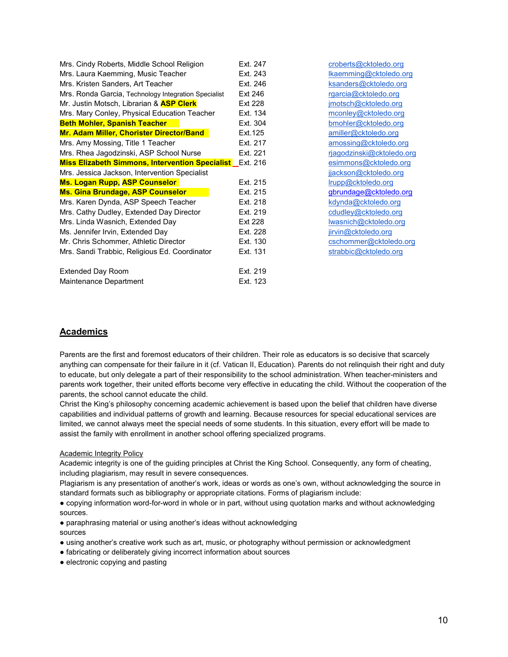| Mrs. Cindy Roberts, Middle School Religion                      | Ext. 247       | croberts@cktoledo.org     |
|-----------------------------------------------------------------|----------------|---------------------------|
| Mrs. Laura Kaemming, Music Teacher                              | Ext. 243       | lkaemming@cktoledo.org    |
| Mrs. Kristen Sanders, Art Teacher                               | Ext. 246       | ksanders@cktoledo.org     |
| Mrs. Ronda Garcia, Technology Integration Specialist            | Ext 246        | rgarcia@cktoledo.org      |
| Mr. Justin Motsch, Librarian & ASP Clerk                        | <b>Ext 228</b> | jmotsch@cktoledo.org      |
| Mrs. Mary Conley, Physical Education Teacher                    | Ext. 134       | mconley@cktoledo.org      |
| <b>Beth Mohler, Spanish Teacher</b>                             | Ext. 304       | bmohler@cktoledo.org      |
| Mr. Adam Miller, Chorister Director/Band                        | Ext. 125       | amiller@cktoledo.org      |
| Mrs. Amy Mossing, Title 1 Teacher                               | Ext. 217       | amossing@cktoledo.org     |
| Mrs. Rhea Jagodzinski, ASP School Nurse                         | Ext. 221       | rjagodzinski@cktoledo.org |
| <b>Miss Elizabeth Simmons, Intervention Specialist</b> Ext. 216 |                | esimmons@cktoledo.org     |
| Mrs. Jessica Jackson, Intervention Specialist                   |                | jjackson@cktoledo.org     |
| <b>Ms. Logan Rupp, ASP Counselor</b>                            | Ext. 215       | Irupp@cktoledo.org        |
| Ms. Gina Brundage, ASP Counselor                                | Ext. 215       | gbrundage@cktoledo.org    |
| Mrs. Karen Dynda, ASP Speech Teacher                            | Ext. 218       | kdynda@cktoledo.org       |
| Mrs. Cathy Dudley, Extended Day Director                        | Ext. 219       | cdudley@cktoledo.org      |
| Mrs. Linda Wasnich, Extended Day                                | <b>Ext 228</b> | lwasnich@cktoledo.org     |
| Ms. Jennifer Irvin, Extended Day                                | Ext. 228       | jirvin@cktoledo.org       |
| Mr. Chris Schommer, Athletic Director                           | Ext. 130       | cschommer@cktoledo.org    |
| Mrs. Sandi Trabbic, Religious Ed. Coordinator                   | Ext. 131       | strabbic@cktoledo.org     |
| <b>Extended Day Room</b>                                        | Ext. 219       |                           |
| Maintenance Department                                          | Ext. 123       |                           |

# **Academics**

Parents are the first and foremost educators of their children. Their role as educators is so decisive that scarcely anything can compensate for their failure in it (cf. Vatican II, Education). Parents do not relinquish their right and duty to educate, but only delegate a part of their responsibility to the school administration. When teacher-ministers and parents work together, their united efforts become very effective in educating the child. Without the cooperation of the parents, the school cannot educate the child.

Christ the King's philosophy concerning academic achievement is based upon the belief that children have diverse capabilities and individual patterns of growth and learning. Because resources for special educational services are limited, we cannot always meet the special needs of some students. In this situation, every effort will be made to assist the family with enrollment in another school offering specialized programs.

# Academic Integrity Policy

Academic integrity is one of the guiding principles at Christ the King School. Consequently, any form of cheating, including plagiarism, may result in severe consequences.

Plagiarism is any presentation of another's work, ideas or words as one's own, without acknowledging the source in standard formats such as bibliography or appropriate citations. Forms of plagiarism include:

● copying information word-for-word in whole or in part, without using quotation marks and without acknowledging sources.

● paraphrasing material or using another's ideas without acknowledging

- sources
- using another's creative work such as art, music, or photography without permission or acknowledgment
- fabricating or deliberately giving incorrect information about sources
- electronic copying and pasting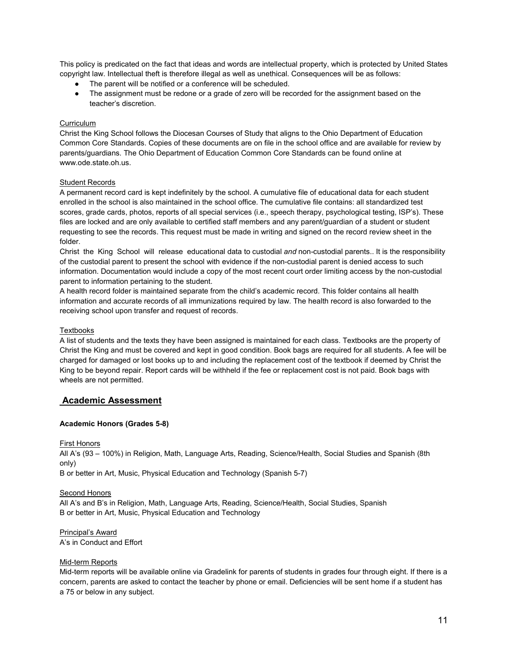This policy is predicated on the fact that ideas and words are intellectual property, which is protected by United States copyright law. Intellectual theft is therefore illegal as well as unethical. Consequences will be as follows:

- The parent will be notified or a conference will be scheduled.
- The assignment must be redone or a grade of zero will be recorded for the assignment based on the teacher's discretion.

# **Curriculum**

Christ the King School follows the Diocesan Courses of Study that aligns to the Ohio Department of Education Common Core Standards. Copies of these documents are on file in the school office and are available for review by parents/guardians. The Ohio Department of Education Common Core Standards can be found online at www.ode.state.oh.us.

#### Student Records

A permanent record card is kept indefinitely by the school. A cumulative file of educational data for each student enrolled in the school is also maintained in the school office. The cumulative file contains: all standardized test scores, grade cards, photos, reports of all special services (i.e., speech therapy, psychological testing, ISP's). These files are locked and are only available to certified staff members and any parent/guardian of a student or student requesting to see the records. This request must be made in writing and signed on the record review sheet in the folder.

Christ the King School will release educational data to custodial *and* non-custodial parents.. It is the responsibility of the custodial parent to present the school with evidence if the non-custodial parent is denied access to such information. Documentation would include a copy of the most recent court order limiting access by the non-custodial parent to information pertaining to the student.

A health record folder is maintained separate from the child's academic record. This folder contains all health information and accurate records of all immunizations required by law. The health record is also forwarded to the receiving school upon transfer and request of records.

#### Textbooks

A list of students and the texts they have been assigned is maintained for each class. Textbooks are the property of Christ the King and must be covered and kept in good condition. Book bags are required for all students. A fee will be charged for damaged or lost books up to and including the replacement cost of the textbook if deemed by Christ the King to be beyond repair. Report cards will be withheld if the fee or replacement cost is not paid. Book bags with wheels are not permitted.

# **Academic Assessment**

#### **Academic Honors (Grades 5-8)**

#### First Honors

All A's (93 – 100%) in Religion, Math, Language Arts, Reading, Science/Health, Social Studies and Spanish (8th only)

B or better in Art, Music, Physical Education and Technology (Spanish 5-7)

#### Second Honors

All A's and B's in Religion, Math, Language Arts, Reading, Science/Health, Social Studies, Spanish B or better in Art, Music, Physical Education and Technology

Principal's Award A's in Conduct and Effort

#### Mid-term Reports

Mid-term reports will be available online via Gradelink for parents of students in grades four through eight. If there is a concern, parents are asked to contact the teacher by phone or email. Deficiencies will be sent home if a student has a 75 or below in any subject.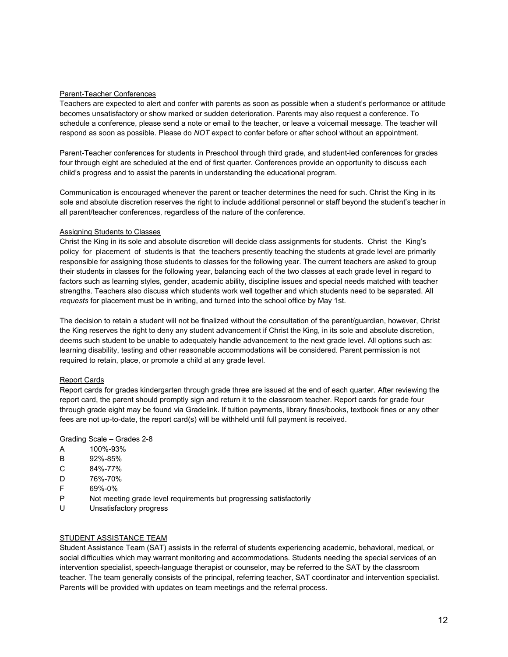#### Parent-Teacher Conferences

Teachers are expected to alert and confer with parents as soon as possible when a student's performance or attitude becomes unsatisfactory or show marked or sudden deterioration. Parents may also request a conference. To schedule a conference, please send a note or email to the teacher, or leave a voicemail message. The teacher will respond as soon as possible. Please do *NOT* expect to confer before or after school without an appointment.

Parent-Teacher conferences for students in Preschool through third grade, and student-led conferences for grades four through eight are scheduled at the end of first quarter. Conferences provide an opportunity to discuss each child's progress and to assist the parents in understanding the educational program.

Communication is encouraged whenever the parent or teacher determines the need for such. Christ the King in its sole and absolute discretion reserves the right to include additional personnel or staff beyond the student's teacher in all parent/teacher conferences, regardless of the nature of the conference.

### Assigning Students to Classes

Christ the King in its sole and absolute discretion will decide class assignments for students. Christ the King's policy for placement of students is that the teachers presently teaching the students at grade level are primarily responsible for assigning those students to classes for the following year. The current teachers are asked to group their students in classes for the following year, balancing each of the two classes at each grade level in regard to factors such as learning styles, gender, academic ability, discipline issues and special needs matched with teacher strengths. Teachers also discuss which students work well together and which students need to be separated. All *requests* for placement must be in writing, and turned into the school office by May 1st.

The decision to retain a student will not be finalized without the consultation of the parent/guardian, however, Christ the King reserves the right to deny any student advancement if Christ the King, in its sole and absolute discretion, deems such student to be unable to adequately handle advancement to the next grade level. All options such as: learning disability, testing and other reasonable accommodations will be considered. Parent permission is not required to retain, place, or promote a child at any grade level.

#### Report Cards

Report cards for grades kindergarten through grade three are issued at the end of each quarter. After reviewing the report card, the parent should promptly sign and return it to the classroom teacher. Report cards for grade four through grade eight may be found via Gradelink. If tuition payments, library fines/books, textbook fines or any other fees are not up-to-date, the report card(s) will be withheld until full payment is received.

#### Grading Scale – Grades 2-8

- A 100%-93%
- B 92%-85%
- C 84%-77%
- D 76%-70%
- F 69%-0%
- P Not meeting grade level requirements but progressing satisfactorily
- U Unsatisfactory progress

#### STUDENT ASSISTANCE TEAM

Student Assistance Team (SAT) assists in the referral of students experiencing academic, behavioral, medical, or social difficulties which may warrant monitoring and accommodations. Students needing the special services of an intervention specialist, speech-language therapist or counselor, may be referred to the SAT by the classroom teacher. The team generally consists of the principal, referring teacher, SAT coordinator and intervention specialist. Parents will be provided with updates on team meetings and the referral process.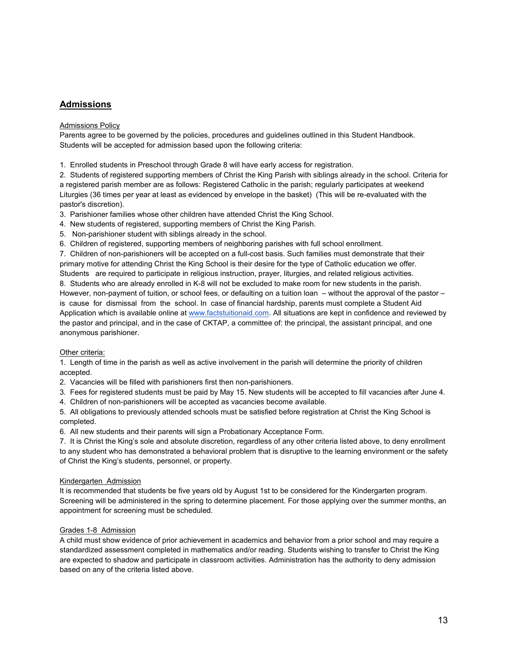# **Admissions**

### Admissions Policy

Parents agree to be governed by the policies, procedures and guidelines outlined in this Student Handbook. Students will be accepted for admission based upon the following criteria:

1. Enrolled students in Preschool through Grade 8 will have early access for registration.

2. Students of registered supporting members of Christ the King Parish with siblings already in the school. Criteria for a registered parish member are as follows: Registered Catholic in the parish; regularly participates at weekend Liturgies (36 times per year at least as evidenced by envelope in the basket) (This will be re-evaluated with the pastor's discretion).

3. Parishioner families whose other children have attended Christ the King School.

4. New students of registered, supporting members of Christ the King Parish.

5. Non-parishioner student with siblings already in the school.

6. Children of registered, supporting members of neighboring parishes with full school enrollment.

7. Children of non-parishioners will be accepted on a full-cost basis. Such families must demonstrate that their primary motive for attending Christ the King School is their desire for the type of Catholic education we offer.

Students are required to participate in religious instruction, prayer, liturgies, and related religious activities.

8. Students who are already enrolled in K-8 will not be excluded to make room for new students in the parish. However, non-payment of tuition, or school fees, or defaulting on a tuition loan – without the approval of the pastor – is cause for dismissal from the school. In case of financial hardship, parents must complete a Student Aid Application which is available online a[t www.factstuitionaid.com.](http://www.factstuitionaid.com/) All situations are kept in confidence and reviewed by the pastor and principal, and in the case of CKTAP, a committee of: the principal, the assistant principal, and one anonymous parishioner.

# Other criteria:

1. Length of time in the parish as well as active involvement in the parish will determine the priority of children accepted.

2. Vacancies will be filled with parishioners first then non-parishioners.

3. Fees for registered students must be paid by May 15. New students will be accepted to fill vacancies after June 4.

4. Children of non-parishioners will be accepted as vacancies become available.

5. All obligations to previously attended schools must be satisfied before registration at Christ the King School is completed.

6. All new students and their parents will sign a Probationary Acceptance Form.

7. It is Christ the King's sole and absolute discretion, regardless of any other criteria listed above, to deny enrollment to any student who has demonstrated a behavioral problem that is disruptive to the learning environment or the safety of Christ the King's students, personnel, or property.

# Kindergarten Admission

It is recommended that students be five years old by August 1st to be considered for the Kindergarten program. Screening will be administered in the spring to determine placement. For those applying over the summer months, an appointment for screening must be scheduled.

# Grades 1-8 Admission

A child must show evidence of prior achievement in academics and behavior from a prior school and may require a standardized assessment completed in mathematics and/or reading. Students wishing to transfer to Christ the King are expected to shadow and participate in classroom activities. Administration has the authority to deny admission based on any of the criteria listed above.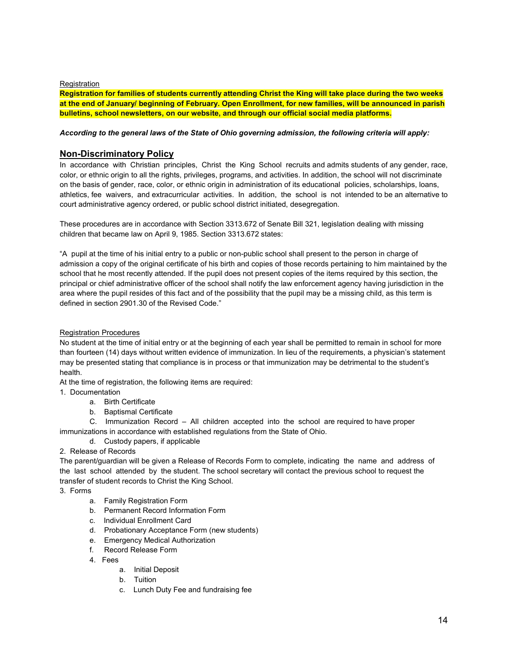# **Registration**

**Registration for families of students currently attending Christ the King will take place during the two weeks at the end of January/ beginning of February. Open Enrollment, for new families, will be announced in parish bulletins, school newsletters, on our website, and through our official social media platforms.**

# *According to the general laws of the State of Ohio governing admission, the following criteria will apply:*

# **Non-Discriminatory Policy**

In accordance with Christian principles, Christ the King School recruits and admits students of any gender, race, color, or ethnic origin to all the rights, privileges, programs, and activities. In addition, the school will not discriminate on the basis of gender, race, color, or ethnic origin in administration of its educational policies, scholarships, loans, athletics, fee waivers, and extracurricular activities. In addition, the school is not intended to be an alternative to court administrative agency ordered, or public school district initiated, desegregation.

These procedures are in accordance with Section 3313.672 of Senate Bill 321, legislation dealing with missing children that became law on April 9, 1985. Section 3313.672 states:

"A pupil at the time of his initial entry to a public or non-public school shall present to the person in charge of admission a copy of the original certificate of his birth and copies of those records pertaining to him maintained by the school that he most recently attended. If the pupil does not present copies of the items required by this section, the principal or chief administrative officer of the school shall notify the law enforcement agency having jurisdiction in the area where the pupil resides of this fact and of the possibility that the pupil may be a missing child, as this term is defined in section 2901.30 of the Revised Code."

# Registration Procedures

No student at the time of initial entry or at the beginning of each year shall be permitted to remain in school for more than fourteen (14) days without written evidence of immunization. In lieu of the requirements, a physician's statement may be presented stating that compliance is in process or that immunization may be detrimental to the student's health.

At the time of registration, the following items are required:

- 1. Documentation
	- a. Birth Certificate
	- b. Baptismal Certificate

C. Immunization Record – All children accepted into the school are required to have proper immunizations in accordance with established regulations from the State of Ohio.

d. Custody papers, if applicable

# 2. Release of Records

The parent/guardian will be given a Release of Records Form to complete, indicating the name and address of the last school attended by the student. The school secretary will contact the previous school to request the transfer of student records to Christ the King School.

3. Forms

- a. Family Registration Form
- b. Permanent Record Information Form
- c. Individual Enrollment Card
- d. Probationary Acceptance Form (new students)
- e. Emergency Medical Authorization
- f. Record Release Form
- 4. Fees
	- a. Initial Deposit
	- b. Tuition
	- c. Lunch Duty Fee and fundraising fee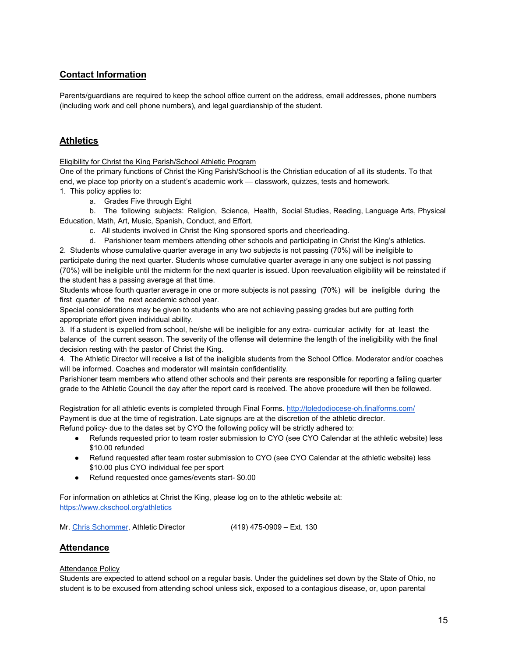# **Contact Information**

Parents/guardians are required to keep the school office current on the address, email addresses, phone numbers (including work and cell phone numbers), and legal guardianship of the student.

# **Athletics**

Eligibility for Christ the King Parish/School Athletic Program

One of the primary functions of Christ the King Parish/School is the Christian education of all its students. To that end, we place top priority on a student's academic work — classwork, quizzes, tests and homework.

- 1. This policy applies to:
	- a. Grades Five through Eight

b. The following subjects: Religion, Science, Health, Social Studies, Reading, Language Arts, Physical Education, Math, Art, Music, Spanish, Conduct, and Effort.

- c. All students involved in Christ the King sponsored sports and cheerleading.
- d. Parishioner team members attending other schools and participating in Christ the King's athletics.

2. Students whose cumulative quarter average in any two subjects is not passing (70%) will be ineligible to participate during the next quarter. Students whose cumulative quarter average in any one subject is not passing (70%) will be ineligible until the midterm for the next quarter is issued. Upon reevaluation eligibility will be reinstated if the student has a passing average at that time.

Students whose fourth quarter average in one or more subjects is not passing (70%) will be ineligible during the first quarter of the next academic school year.

Special considerations may be given to students who are not achieving passing grades but are putting forth appropriate effort given individual ability.

3. If a student is expelled from school, he/she will be ineligible for any extra- curricular activity for at least the balance of the current season. The severity of the offense will determine the length of the ineligibility with the final decision resting with the pastor of Christ the King.

4. The Athletic Director will receive a list of the ineligible students from the School Office. Moderator and/or coaches will be informed. Coaches and moderator will maintain confidentiality.

Parishioner team members who attend other schools and their parents are responsible for reporting a failing quarter grade to the Athletic Council the day after the report card is received. The above procedure will then be followed.

Registration for all athletic events is completed through Final Forms[. http://toledodiocese-oh.finalforms.com/](http://toledodiocese-oh.finalforms.com/) Payment is due at the time of registration. Late signups are at the discretion of the athletic director. Refund policy- due to the dates set by CYO the following policy will be strictly adhered to:

- Refunds requested prior to team roster submission to CYO (see CYO Calendar at the athletic website) less \$10.00 refunded
- Refund requested after team roster submission to CYO (see CYO Calendar at the athletic website) less \$10.00 plus CYO individual fee per sport
- Refund requested once games/events start- \$0.00

For information on athletics at Christ the King, please log on to the athletic website at: <https://www.ckschool.org/athletics>

Mr. [Chris Schommer,](mailto:cschommer@cktoledo.org) Athletic Director (419) 475-0909 – Ext. 130

# **Attendance**

# Attendance Policy

Students are expected to attend school on a regular basis. Under the guidelines set down by the State of Ohio, no student is to be excused from attending school unless sick, exposed to a contagious disease, or, upon parental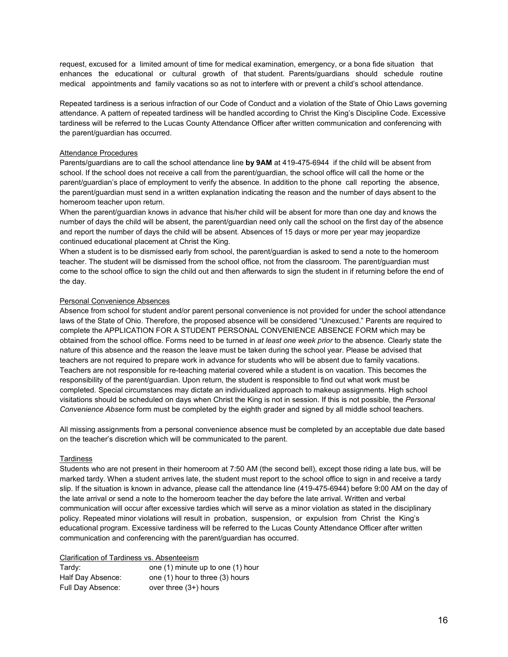request, excused for a limited amount of time for medical examination, emergency, or a bona fide situation that enhances the educational or cultural growth of that student. Parents/guardians should schedule routine medical appointments and family vacations so as not to interfere with or prevent a child's school attendance.

Repeated tardiness is a serious infraction of our Code of Conduct and a violation of the State of Ohio Laws governing attendance. A pattern of repeated tardiness will be handled according to Christ the King's Discipline Code. Excessive tardiness will be referred to the Lucas County Attendance Officer after written communication and conferencing with the parent/guardian has occurred.

#### Attendance Procedures

Parents/guardians are to call the school attendance line **by 9AM** at 419-475-6944 if the child will be absent from school. If the school does not receive a call from the parent/guardian, the school office will call the home or the parent/guardian's place of employment to verify the absence. In addition to the phone call reporting the absence, the parent/guardian must send in a written explanation indicating the reason and the number of days absent to the homeroom teacher upon return.

When the parent/guardian knows in advance that his/her child will be absent for more than one day and knows the number of days the child will be absent, the parent/guardian need only call the school on the first day of the absence and report the number of days the child will be absent. Absences of 15 days or more per year may jeopardize continued educational placement at Christ the King.

When a student is to be dismissed early from school, the parent/guardian is asked to send a note to the homeroom teacher. The student will be dismissed from the school office, not from the classroom. The parent/guardian must come to the school office to sign the child out and then afterwards to sign the student in if returning before the end of the day.

### Personal Convenience Absences

Absence from school for student and/or parent personal convenience is not provided for under the school attendance laws of the State of Ohio. Therefore, the proposed absence will be considered "Unexcused." Parents are required to complete the APPLICATION FOR A STUDENT PERSONAL CONVENIENCE ABSENCE FORM which may be obtained from the school office. Forms need to be turned in *at least one week prior* to the absence. Clearly state the nature of this absence and the reason the leave must be taken during the school year. Please be advised that teachers are not required to prepare work in advance for students who will be absent due to family vacations. Teachers are not responsible for re-teaching material covered while a student is on vacation. This becomes the responsibility of the parent/guardian. Upon return, the student is responsible to find out what work must be completed. Special circumstances may dictate an individualized approach to makeup assignments. High school visitations should be scheduled on days when Christ the King is not in session. If this is not possible, the *Personal Convenience Absence* form must be completed by the eighth grader and signed by all middle school teachers.

All missing assignments from a personal convenience absence must be completed by an acceptable due date based on the teacher's discretion which will be communicated to the parent.

#### **Tardiness**

Students who are not present in their homeroom at 7:50 AM (the second bell), except those riding a late bus, will be marked tardy. When a student arrives late, the student must report to the school office to sign in and receive a tardy slip. If the situation is known in advance, please call the attendance line (419-475-6944) before 9:00 AM on the day of the late arrival or send a note to the homeroom teacher the day before the late arrival. Written and verbal communication will occur after excessive tardies which will serve as a minor violation as stated in the disciplinary policy. Repeated minor violations will result in probation, suspension, or expulsion from Christ the King's educational program. Excessive tardiness will be referred to the Lucas County Attendance Officer after written communication and conferencing with the parent/guardian has occurred.

#### Clarification of Tardiness vs. Absenteeism

| Tardy:            | one (1) minute up to one (1) hour |
|-------------------|-----------------------------------|
| Half Day Absence: | one (1) hour to three (3) hours   |
| Full Day Absence: | over three $(3+)$ hours           |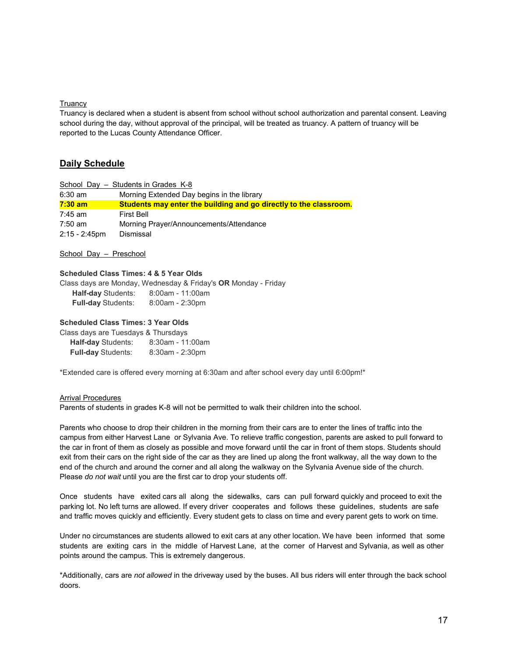#### **Truancy**

Truancy is declared when a student is absent from school without school authorization and parental consent. Leaving school during the day, without approval of the principal, will be treated as truancy. A pattern of truancy will be reported to the Lucas County Attendance Officer.

# **Daily Schedule**

|                  | School Day - Students in Grades K-8                               |  |
|------------------|-------------------------------------------------------------------|--|
| $6:30$ am        | Morning Extended Day begins in the library                        |  |
| $7:30$ am        | Students may enter the building and go directly to the classroom. |  |
| $7:45$ am        | <b>First Bell</b>                                                 |  |
| $7:50$ am        | Morning Prayer/Announcements/Attendance                           |  |
| $2:15 - 2:45$ pm | <b>Dismissal</b>                                                  |  |

School Day – Preschool

# **Scheduled Class Times: 4 & 5 Year Olds**

Class days are Monday, Wednesday & Friday's **OR** Monday - Friday **Half-day** Students: 8:00am - 11:00am **Full-day** Students: 8:00am - 2:30pm

### **Scheduled Class Times: 3 Year Olds**

| Class days are Tuesdays & Thursdays |                  |
|-------------------------------------|------------------|
| <b>Half-day Students:</b>           | 8:30am - 11:00am |
| <b>Full-day Students:</b>           | 8:30am - 2:30pm  |

\*Extended care is offered every morning at 6:30am and after school every day until 6:00pm!\*

#### Arrival Procedures

Parents of students in grades K-8 will not be permitted to walk their children into the school.

Parents who choose to drop their children in the morning from their cars are to enter the lines of traffic into the campus from either Harvest Lane or Sylvania Ave. To relieve traffic congestion, parents are asked to pull forward to the car in front of them as closely as possible and move forward until the car in front of them stops. Students should exit from their cars on the right side of the car as they are lined up along the front walkway, all the way down to the end of the church and around the corner and all along the walkway on the Sylvania Avenue side of the church. Please *do not wait* until you are the first car to drop your students off.

Once students have exited cars all along the sidewalks, cars can pull forward quickly and proceed to exit the parking lot. No left turns are allowed. If every driver cooperates and follows these guidelines, students are safe and traffic moves quickly and efficiently. Every student gets to class on time and every parent gets to work on time.

Under no circumstances are students allowed to exit cars at any other location. We have been informed that some students are exiting cars in the middle of Harvest Lane, at the corner of Harvest and Sylvania, as well as other points around the campus. This is extremely dangerous.

\*Additionally, cars are *not allowed* in the driveway used by the buses. All bus riders will enter through the back school doors.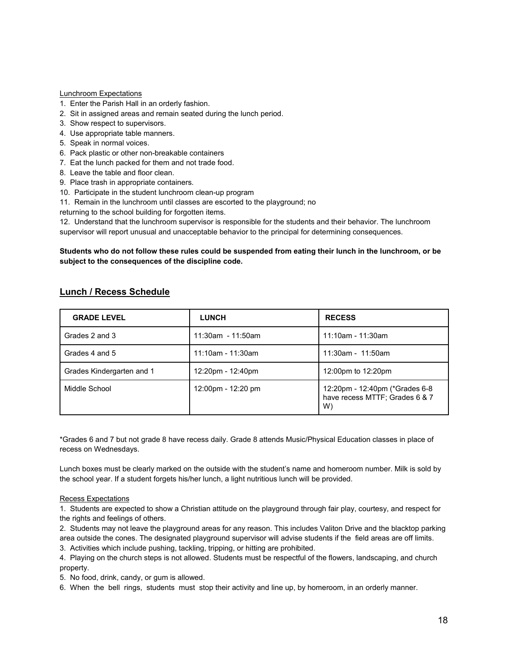#### Lunchroom Expectations

- 1. Enter the Parish Hall in an orderly fashion.
- 2. Sit in assigned areas and remain seated during the lunch period.
- 3. Show respect to supervisors.
- 4. Use appropriate table manners.
- 5. Speak in normal voices.
- 6. Pack plastic or other non-breakable containers
- 7. Eat the lunch packed for them and not trade food.
- 8. Leave the table and floor clean.
- 9. Place trash in appropriate containers.
- 10. Participate in the student lunchroom clean-up program
- 11. Remain in the lunchroom until classes are escorted to the playground; no

returning to the school building for forgotten items.

12. Understand that the lunchroom supervisor is responsible for the students and their behavior. The lunchroom supervisor will report unusual and unacceptable behavior to the principal for determining consequences.

### **Students who do not follow these rules could be suspended from eating their lunch in the lunchroom, or be subject to the consequences of the discipline code.**

| <b>GRADE LEVEL</b>        | <b>LUNCH</b>         | <b>RECESS</b>                                                          |
|---------------------------|----------------------|------------------------------------------------------------------------|
| Grades 2 and 3            | 11:30am - 11:50am    | 11:10am - 11:30am                                                      |
| Grades 4 and 5            | $11:10$ am - 11:30am | $11:30$ am - 11:50am                                                   |
| Grades Kindergarten and 1 | 12:20pm - 12:40pm    | 12:00pm to 12:20pm                                                     |
| Middle School             | 12:00pm - 12:20 pm   | 12:20pm - 12:40pm (*Grades 6-8<br>have recess MTTF: Grades 6 & 7<br>W) |

# **Lunch / Recess Schedule**

\*Grades 6 and 7 but not grade 8 have recess daily. Grade 8 attends Music/Physical Education classes in place of recess on Wednesdays.

Lunch boxes must be clearly marked on the outside with the student's name and homeroom number. Milk is sold by the school year. If a student forgets his/her lunch, a light nutritious lunch will be provided.

#### Recess Expectations

1. Students are expected to show a Christian attitude on the playground through fair play, courtesy, and respect for the rights and feelings of others.

2. Students may not leave the playground areas for any reason. This includes Valiton Drive and the blacktop parking area outside the cones. The designated playground supervisor will advise students if the field areas are off limits.

3. Activities which include pushing, tackling, tripping, or hitting are prohibited.

4. Playing on the church steps is not allowed. Students must be respectful of the flowers, landscaping, and church property.

5. No food, drink, candy, or gum is allowed.

6. When the bell rings, students must stop their activity and line up, by homeroom, in an orderly manner.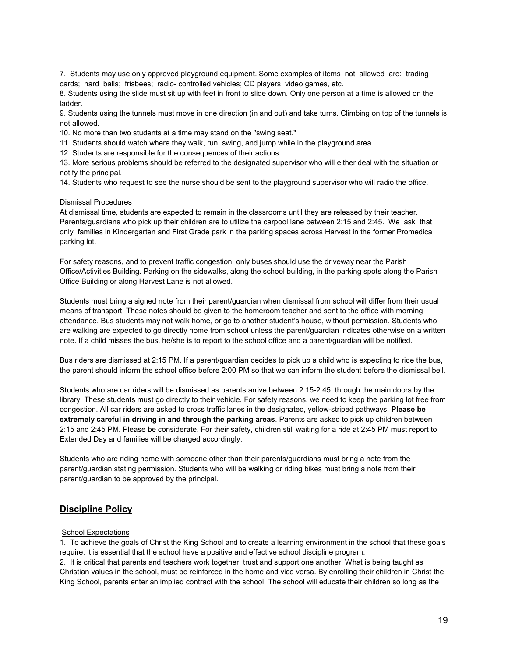7. Students may use only approved playground equipment. Some examples of items not allowed are: trading cards; hard balls; frisbees; radio- controlled vehicles; CD players; video games, etc.

8. Students using the slide must sit up with feet in front to slide down. Only one person at a time is allowed on the ladder.

9. Students using the tunnels must move in one direction (in and out) and take turns. Climbing on top of the tunnels is not allowed.

10. No more than two students at a time may stand on the "swing seat."

11. Students should watch where they walk, run, swing, and jump while in the playground area.

12. Students are responsible for the consequences of their actions.

13. More serious problems should be referred to the designated supervisor who will either deal with the situation or notify the principal.

14. Students who request to see the nurse should be sent to the playground supervisor who will radio the office.

#### Dismissal Procedures

At dismissal time, students are expected to remain in the classrooms until they are released by their teacher. Parents/guardians who pick up their children are to utilize the carpool lane between 2:15 and 2:45. We ask that only families in Kindergarten and First Grade park in the parking spaces across Harvest in the former Promedica parking lot.

For safety reasons, and to prevent traffic congestion, only buses should use the driveway near the Parish Office/Activities Building. Parking on the sidewalks, along the school building, in the parking spots along the Parish Office Building or along Harvest Lane is not allowed.

Students must bring a signed note from their parent/guardian when dismissal from school will differ from their usual means of transport. These notes should be given to the homeroom teacher and sent to the office with morning attendance. Bus students may not walk home, or go to another student's house, without permission. Students who are walking are expected to go directly home from school unless the parent/guardian indicates otherwise on a written note. If a child misses the bus, he/she is to report to the school office and a parent/guardian will be notified.

Bus riders are dismissed at 2:15 PM. If a parent/guardian decides to pick up a child who is expecting to ride the bus, the parent should inform the school office before 2:00 PM so that we can inform the student before the dismissal bell.

Students who are car riders will be dismissed as parents arrive between 2:15-2:45 through the main doors by the library. These students must go directly to their vehicle. For safety reasons, we need to keep the parking lot free from congestion. All car riders are asked to cross traffic lanes in the designated, yellow-striped pathways. **Please be extremely careful in driving in and through the parking areas**. Parents are asked to pick up children between 2:15 and 2:45 PM. Please be considerate. For their safety, children still waiting for a ride at 2:45 PM must report to Extended Day and families will be charged accordingly.

Students who are riding home with someone other than their parents/guardians must bring a note from the parent/guardian stating permission. Students who will be walking or riding bikes must bring a note from their parent/guardian to be approved by the principal.

# **Discipline Policy**

#### School Expectations

1. To achieve the goals of Christ the King School and to create a learning environment in the school that these goals require, it is essential that the school have a positive and effective school discipline program.

2. It is critical that parents and teachers work together, trust and support one another. What is being taught as Christian values in the school, must be reinforced in the home and vice versa. By enrolling their children in Christ the King School, parents enter an implied contract with the school. The school will educate their children so long as the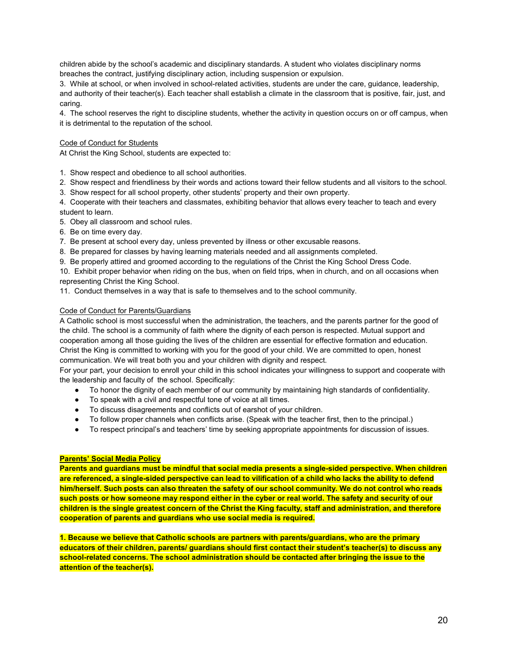children abide by the school's academic and disciplinary standards. A student who violates disciplinary norms breaches the contract, justifying disciplinary action, including suspension or expulsion.

3. While at school, or when involved in school-related activities, students are under the care, guidance, leadership, and authority of their teacher(s). Each teacher shall establish a climate in the classroom that is positive, fair, just, and caring.

4. The school reserves the right to discipline students, whether the activity in question occurs on or off campus, when it is detrimental to the reputation of the school.

#### Code of Conduct for Students

At Christ the King School, students are expected to:

- 1. Show respect and obedience to all school authorities.
- 2. Show respect and friendliness by their words and actions toward their fellow students and all visitors to the school.
- 3. Show respect for all school property, other students' property and their own property.

4. Cooperate with their teachers and classmates, exhibiting behavior that allows every teacher to teach and every student to learn.

5. Obey all classroom and school rules.

6. Be on time every day.

7. Be present at school every day, unless prevented by illness or other excusable reasons.

8. Be prepared for classes by having learning materials needed and all assignments completed.

9. Be properly attired and groomed according to the regulations of the Christ the King School Dress Code.

10. Exhibit proper behavior when riding on the bus, when on field trips, when in church, and on all occasions when representing Christ the King School.

11. Conduct themselves in a way that is safe to themselves and to the school community.

### Code of Conduct for Parents/Guardians

A Catholic school is most successful when the administration, the teachers, and the parents partner for the good of the child. The school is a community of faith where the dignity of each person is respected. Mutual support and cooperation among all those guiding the lives of the children are essential for effective formation and education. Christ the King is committed to working with you for the good of your child. We are committed to open, honest communication. We will treat both you and your children with dignity and respect.

For your part, your decision to enroll your child in this school indicates your willingness to support and cooperate with the leadership and faculty of the school. Specifically:

- To honor the dignity of each member of our community by maintaining high standards of confidentiality.
- To speak with a civil and respectful tone of voice at all times.
- To discuss disagreements and conflicts out of earshot of your children.
- To follow proper channels when conflicts arise. (Speak with the teacher first, then to the principal.)
- To respect principal's and teachers' time by seeking appropriate appointments for discussion of issues.

#### **Parents' Social Media Policy**

**Parents and guardians must be mindful that social media presents a single-sided perspective. When children are referenced, a single-sided perspective can lead to vilification of a child who lacks the ability to defend him/herself. Such posts can also threaten the safety of our school community. We do not control who reads such posts or how someone may respond either in the cyber or real world. The safety and security of our children is the single greatest concern of the Christ the King faculty, staff and administration, and therefore cooperation of parents and guardians who use social media is required.** 

**1. Because we believe that Catholic schools are partners with parents/guardians, who are the primary educators of their children, parents/ guardians should first contact their student's teacher(s) to discuss any school-related concerns. The school administration should be contacted after bringing the issue to the attention of the teacher(s).**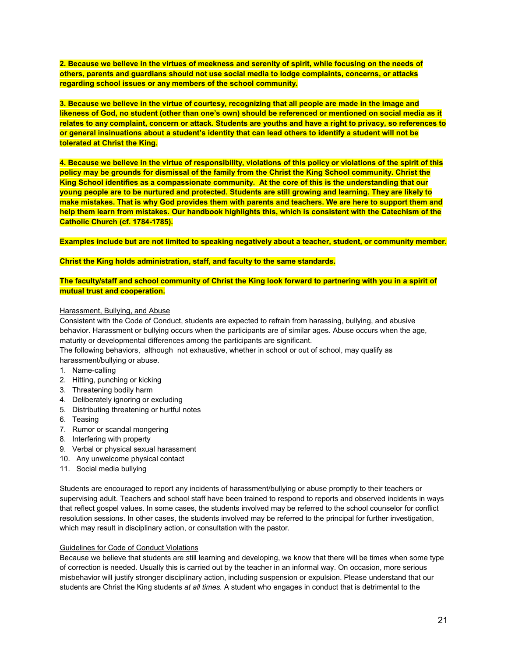**2. Because we believe in the virtues of meekness and serenity of spirit, while focusing on the needs of others, parents and guardians should not use social media to lodge complaints, concerns, or attacks regarding school issues or any members of the school community.** 

**3. Because we believe in the virtue of courtesy, recognizing that all people are made in the image and likeness of God, no student (other than one's own) should be referenced or mentioned on social media as it relates to any complaint, concern or attack. Students are youths and have a right to privacy, so references to or general insinuations about a student's identity that can lead others to identify a student will not be tolerated at Christ the King.**

**4. Because we believe in the virtue of responsibility, violations of this policy or violations of the spirit of this policy may be grounds for dismissal of the family from the Christ the King School community. Christ the King School identifies as a compassionate community. At the core of this is the understanding that our young people are to be nurtured and protected. Students are still growing and learning. They are likely to make mistakes. That is why God provides them with parents and teachers. We are here to support them and help them learn from mistakes. Our handbook highlights this, which is consistent with the Catechism of the Catholic Church (cf. 1784-1785).**

**Examples include but are not limited to speaking negatively about a teacher, student, or community member.**

#### **Christ the King holds administration, staff, and faculty to the same standards.**

### **The faculty/staff and school community of Christ the King look forward to partnering with you in a spirit of mutual trust and cooperation.**

#### Harassment, Bullying, and Abuse

Consistent with the Code of Conduct, students are expected to refrain from harassing, bullying, and abusive behavior. Harassment or bullying occurs when the participants are of similar ages. Abuse occurs when the age, maturity or developmental differences among the participants are significant.

The following behaviors, although not exhaustive, whether in school or out of school, may qualify as harassment/bullying or abuse.

- 1. Name-calling
- 2. Hitting, punching or kicking
- 3. Threatening bodily harm
- 4. Deliberately ignoring or excluding
- 5. Distributing threatening or hurtful notes
- 6. Teasing
- 7. Rumor or scandal mongering
- 8. Interfering with property
- 9. Verbal or physical sexual harassment
- 10. Any unwelcome physical contact
- 11. Social media bullying

Students are encouraged to report any incidents of harassment/bullying or abuse promptly to their teachers or supervising adult. Teachers and school staff have been trained to respond to reports and observed incidents in ways that reflect gospel values. In some cases, the students involved may be referred to the school counselor for conflict resolution sessions. In other cases, the students involved may be referred to the principal for further investigation, which may result in disciplinary action, or consultation with the pastor.

#### Guidelines for Code of Conduct Violations

Because we believe that students are still learning and developing, we know that there will be times when some type of correction is needed. Usually this is carried out by the teacher in an informal way. On occasion, more serious misbehavior will justify stronger disciplinary action, including suspension or expulsion. Please understand that our students are Christ the King students *at all times.* A student who engages in conduct that is detrimental to the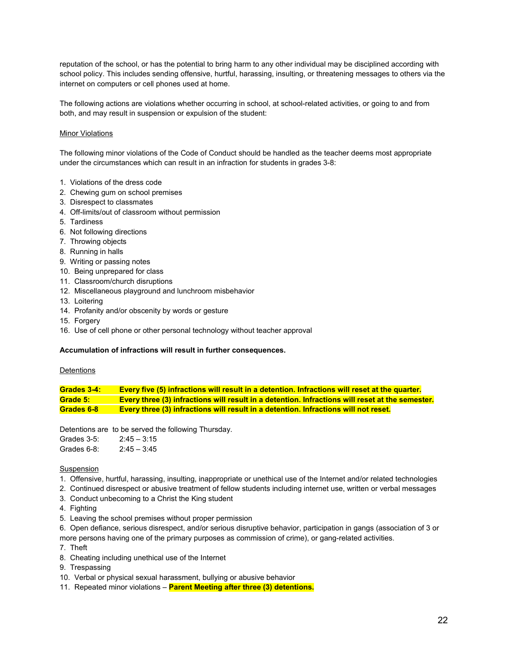reputation of the school, or has the potential to bring harm to any other individual may be disciplined according with school policy. This includes sending offensive, hurtful, harassing, insulting, or threatening messages to others via the internet on computers or cell phones used at home.

The following actions are violations whether occurring in school, at school-related activities, or going to and from both, and may result in suspension or expulsion of the student:

### **Minor Violations**

The following minor violations of the Code of Conduct should be handled as the teacher deems most appropriate under the circumstances which can result in an infraction for students in grades 3-8:

- 1. Violations of the dress code
- 2. Chewing gum on school premises
- 3. Disrespect to classmates
- 4. Off-limits/out of classroom without permission
- 5. Tardiness
- 6. Not following directions
- 7. Throwing objects
- 8. Running in halls
- 9. Writing or passing notes
- 10. Being unprepared for class
- 11. Classroom/church disruptions
- 12. Miscellaneous playground and lunchroom misbehavior
- 13. Loitering
- 14. Profanity and/or obscenity by words or gesture
- 15. Forgery
- 16. Use of cell phone or other personal technology without teacher approval

#### **Accumulation of infractions will result in further consequences.**

#### **Detentions**

**Grades 3-4: Every five (5) infractions will result in a detention. Infractions will reset at the quarter. Grade 5: Every three (3) infractions will result in a detention. Infractions will reset at the semester. Grades 6-8 Every three (3) infractions will result in a detention. Infractions will not reset.**

Detentions are to be served the following Thursday.

Grades 3-5: 2:45 – 3:15 Grades 6-8: 2:45 – 3:45

#### Suspension

- 1. Offensive, hurtful, harassing, insulting, inappropriate or unethical use of the Internet and/or related technologies
- 2. Continued disrespect or abusive treatment of fellow students including internet use, written or verbal messages
- 3. Conduct unbecoming to a Christ the King student
- 4. Fighting
- 5. Leaving the school premises without proper permission
- 6. Open defiance, serious disrespect, and/or serious disruptive behavior, participation in gangs (association of 3 or more persons having one of the primary purposes as commission of crime), or gang-related activities.
- 7. Theft
- 8. Cheating including unethical use of the Internet
- 9. Trespassing
- 10. Verbal or physical sexual harassment, bullying or abusive behavior
- 11. Repeated minor violations **Parent Meeting after three (3) detentions.**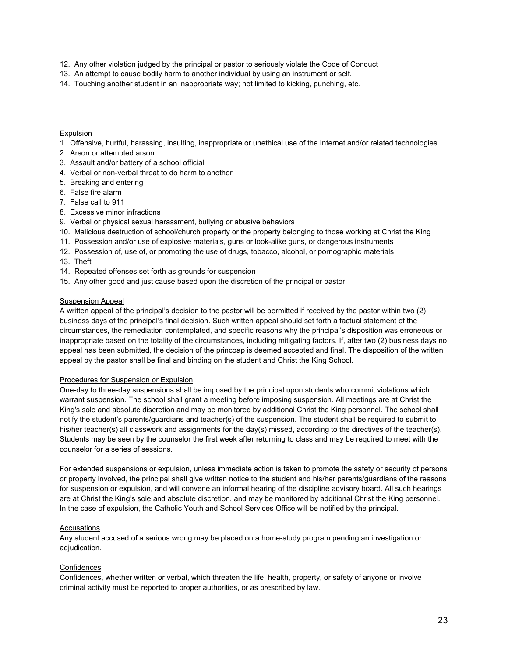- 12. Any other violation judged by the principal or pastor to seriously violate the Code of Conduct
- 13. An attempt to cause bodily harm to another individual by using an instrument or self.
- 14. Touching another student in an inappropriate way; not limited to kicking, punching, etc.

#### Expulsion

- 1. Offensive, hurtful, harassing, insulting, inappropriate or unethical use of the Internet and/or related technologies
- 2. Arson or attempted arson
- 3. Assault and/or battery of a school official
- 4. Verbal or non-verbal threat to do harm to another
- 5. Breaking and entering
- 6. False fire alarm
- 7. False call to 911
- 8. Excessive minor infractions
- 9. Verbal or physical sexual harassment, bullying or abusive behaviors
- 10. Malicious destruction of school/church property or the property belonging to those working at Christ the King
- 11. Possession and/or use of explosive materials, guns or look-alike guns, or dangerous instruments
- 12. Possession of, use of, or promoting the use of drugs, tobacco, alcohol, or pornographic materials
- 13. Theft
- 14. Repeated offenses set forth as grounds for suspension
- 15. Any other good and just cause based upon the discretion of the principal or pastor.

#### Suspension Appeal

A written appeal of the principal's decision to the pastor will be permitted if received by the pastor within two (2) business days of the principal's final decision. Such written appeal should set forth a factual statement of the circumstances, the remediation contemplated, and specific reasons why the principal's disposition was erroneous or inappropriate based on the totality of the circumstances, including mitigating factors. If, after two (2) business days no appeal has been submitted, the decision of the princoap is deemed accepted and final. The disposition of the written appeal by the pastor shall be final and binding on the student and Christ the King School.

#### Procedures for Suspension or Expulsion

One-day to three-day suspensions shall be imposed by the principal upon students who commit violations which warrant suspension. The school shall grant a meeting before imposing suspension. All meetings are at Christ the King's sole and absolute discretion and may be monitored by additional Christ the King personnel. The school shall notify the student's parents/guardians and teacher(s) of the suspension. The student shall be required to submit to his/her teacher(s) all classwork and assignments for the day(s) missed, according to the directives of the teacher(s). Students may be seen by the counselor the first week after returning to class and may be required to meet with the counselor for a series of sessions.

For extended suspensions or expulsion, unless immediate action is taken to promote the safety or security of persons or property involved, the principal shall give written notice to the student and his/her parents/guardians of the reasons for suspension or expulsion, and will convene an informal hearing of the discipline advisory board. All such hearings are at Christ the King's sole and absolute discretion, and may be monitored by additional Christ the King personnel. In the case of expulsion, the Catholic Youth and School Services Office will be notified by the principal.

#### Accusations

Any student accused of a serious wrong may be placed on a home-study program pending an investigation or adjudication.

#### **Confidences**

Confidences, whether written or verbal, which threaten the life, health, property, or safety of anyone or involve criminal activity must be reported to proper authorities, or as prescribed by law.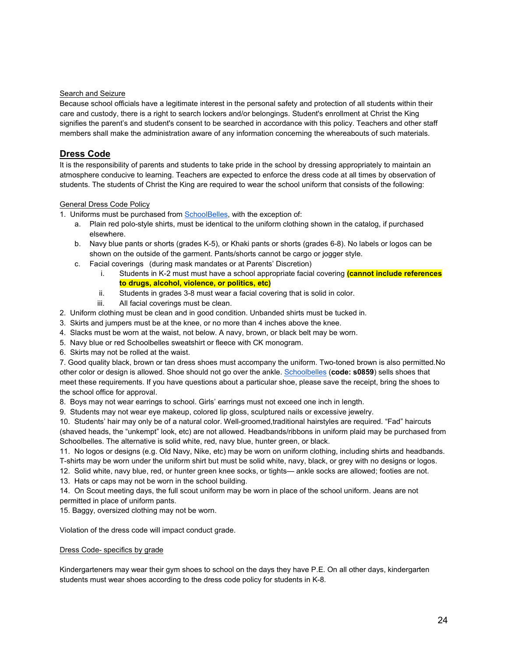### Search and Seizure

Because school officials have a legitimate interest in the personal safety and protection of all students within their care and custody, there is a right to search lockers and/or belongings. Student's enrollment at Christ the King signifies the parent's and student's consent to be searched in accordance with this policy. Teachers and other staff members shall make the administration aware of any information concerning the whereabouts of such materials.

# **Dress Code**

It is the responsibility of parents and students to take pride in the school by dressing appropriately to maintain an atmosphere conducive to learning. Teachers are expected to enforce the dress code at all times by observation of students. The students of Christ the King are required to wear the school uniform that consists of the following:

# General Dress Code Policy

- 1. Uniforms must be purchased fro[m SchoolBelles,](https://www.schoolbelles.com/) with the exception of:
	- a. Plain red polo-style shirts, must be identical to the uniform clothing shown in the catalog, if purchased elsewhere.
	- b. Navy blue pants or shorts (grades K-5), or Khaki pants or shorts (grades 6-8). No labels or logos can be shown on the outside of the garment. Pants/shorts cannot be cargo or jogger style.
	- c. Facial coverings (during mask mandates or at Parents' Discretion)
		- i. Students in K-2 must must have a school appropriate facial covering **(cannot include references to drugs, alcohol, violence, or politics, etc)**
		- ii. Students in grades 3-8 must wear a facial covering that is solid in color.
		- iii. All facial coverings must be clean.
- 2. Uniform clothing must be clean and in good condition. Unbanded shirts must be tucked in.
- 3. Skirts and jumpers must be at the knee, or no more than 4 inches above the knee.
- 4. Slacks must be worn at the waist, not below. A navy, brown, or black belt may be worn.
- 5. Navy blue or red Schoolbelles sweatshirt or fleece with CK monogram.
- 6. Skirts may not be rolled at the waist.

7. Good quality black, brown or tan dress shoes must accompany the uniform. Two-toned brown is also permitted.No other color or design is allowed. Shoe should not go over the ankle[. Schoolbelles](https://www.schoolbelles.com/) (**code: s0859**) sells shoes that meet these requirements. If you have questions about a particular shoe, please save the receipt, bring the shoes to the school office for approval.

8. Boys may not wear earrings to school. Girls' earrings must not exceed one inch in length.

9. Students may not wear eye makeup, colored lip gloss, sculptured nails or excessive jewelry.

10. Students' hair may only be of a natural color. Well-groomed,traditional hairstyles are required. "Fad" haircuts (shaved heads, the "unkempt" look, etc) are not allowed. Headbands/ribbons in uniform plaid may be purchased from Schoolbelles. The alternative is solid white, red, navy blue, hunter green, or black.

11. No logos or designs (e.g. Old Navy, Nike, etc) may be worn on uniform clothing, including shirts and headbands. T-shirts may be worn under the uniform shirt but must be solid white, navy, black, or grey with no designs or logos.

12. Solid white, navy blue, red, or hunter green knee socks, or tights— ankle socks are allowed; footies are not.

13. Hats or caps may not be worn in the school building.

14. On Scout meeting days, the full scout uniform may be worn in place of the school uniform. Jeans are not permitted in place of uniform pants.

15. Baggy, oversized clothing may not be worn.

Violation of the dress code will impact conduct grade.

#### Dress Code- specifics by grade

Kindergarteners may wear their gym shoes to school on the days they have P.E. On all other days, kindergarten students must wear shoes according to the dress code policy for students in K-8.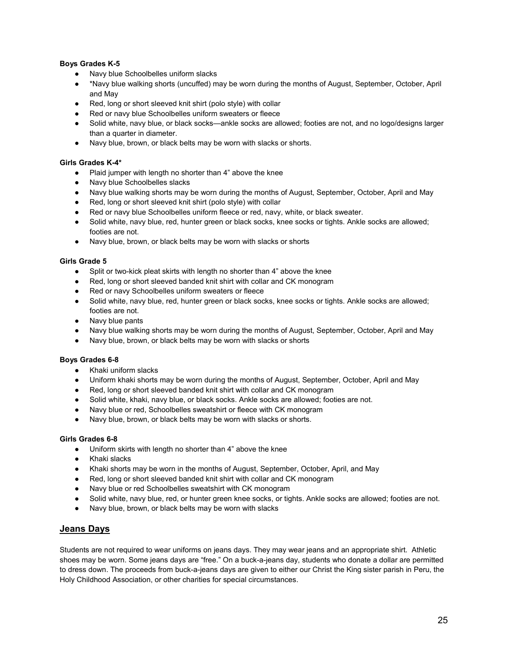# **Boys Grades K-5**

- Navy blue Schoolbelles uniform slacks
- \*Navy blue walking shorts (uncuffed) may be worn during the months of August, September, October, April and May
- Red, long or short sleeved knit shirt (polo style) with collar
- Red or navy blue Schoolbelles uniform sweaters or fleece
- Solid white, navy blue, or black socks—ankle socks are allowed; footies are not, and no logo/designs larger than a quarter in diameter.
- Navy blue, brown, or black belts may be worn with slacks or shorts.

### **Girls Grades K-4\***

- Plaid jumper with length no shorter than 4" above the knee
- Navy blue Schoolbelles slacks
- Navy blue walking shorts may be worn during the months of August, September, October, April and May
- Red, long or short sleeved knit shirt (polo style) with collar
- Red or navy blue Schoolbelles uniform fleece or red, navy, white, or black sweater.
- Solid white, navy blue, red, hunter green or black socks, knee socks or tights. Ankle socks are allowed; footies are not.
- Navy blue, brown, or black belts may be worn with slacks or shorts

#### **Girls Grade 5**

- Split or two-kick pleat skirts with length no shorter than 4" above the knee
- Red, long or short sleeved banded knit shirt with collar and CK monogram
- Red or navy Schoolbelles uniform sweaters or fleece
- Solid white, navy blue, red, hunter green or black socks, knee socks or tights. Ankle socks are allowed; footies are not.
- Navy blue pants
- Navy blue walking shorts may be worn during the months of August, September, October, April and May
- Navy blue, brown, or black belts may be worn with slacks or shorts

#### **Boys Grades 6-8**

- Khaki uniform slacks
- Uniform khaki shorts may be worn during the months of August, September, October, April and May
- Red, long or short sleeved banded knit shirt with collar and CK monogram
- Solid white, khaki, navy blue, or black socks. Ankle socks are allowed; footies are not.
- Navy blue or red, Schoolbelles sweatshirt or fleece with CK monogram
- Navy blue, brown, or black belts may be worn with slacks or shorts.

### **Girls Grades 6-8**

- Uniform skirts with length no shorter than 4" above the knee
- Khaki slacks
- Khaki shorts may be worn in the months of August, September, October, April, and May
- Red, long or short sleeved banded knit shirt with collar and CK monogram
- Navy blue or red Schoolbelles sweatshirt with CK monogram
- Solid white, navy blue, red, or hunter green knee socks, or tights. Ankle socks are allowed; footies are not.
- Navy blue, brown, or black belts may be worn with slacks

# **Jeans Days**

Students are not required to wear uniforms on jeans days. They may wear jeans and an appropriate shirt. Athletic shoes may be worn. Some jeans days are "free." On a buck-a-jeans day, students who donate a dollar are permitted to dress down. The proceeds from buck-a-jeans days are given to either our Christ the King sister parish in Peru, the Holy Childhood Association, or other charities for special circumstances.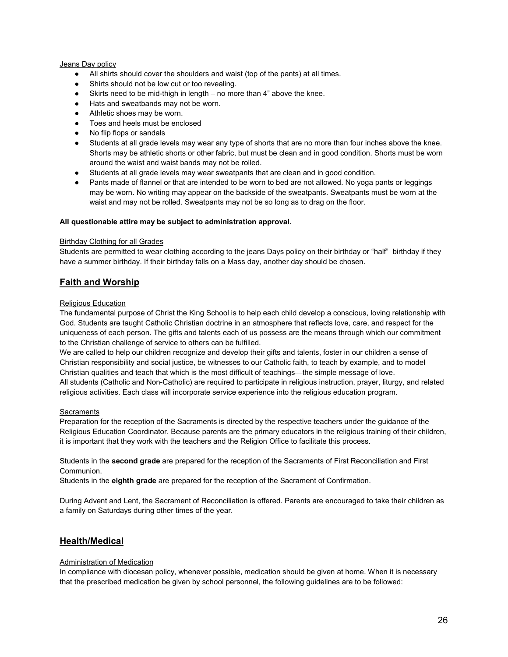### Jeans Day policy

- All shirts should cover the shoulders and waist (top of the pants) at all times.
- Shirts should not be low cut or too revealing.
- Skirts need to be mid-thigh in length no more than  $4"$  above the knee.
- Hats and sweatbands may not be worn.
- Athletic shoes may be worn.
- Toes and heels must be enclosed
- No flip flops or sandals
- Students at all grade levels may wear any type of shorts that are no more than four inches above the knee. Shorts may be athletic shorts or other fabric, but must be clean and in good condition. Shorts must be worn around the waist and waist bands may not be rolled.
- Students at all grade levels may wear sweatpants that are clean and in good condition.
- Pants made of flannel or that are intended to be worn to bed are not allowed. No yoga pants or leggings may be worn. No writing may appear on the backside of the sweatpants. Sweatpants must be worn at the waist and may not be rolled. Sweatpants may not be so long as to drag on the floor.

#### **All questionable attire may be subject to administration approval.**

#### Birthday Clothing for all Grades

Students are permitted to wear clothing according to the jeans Days policy on their birthday or "half" birthday if they have a summer birthday. If their birthday falls on a Mass day, another day should be chosen.

# **Faith and Worship**

#### Religious Education

The fundamental purpose of Christ the King School is to help each child develop a conscious, loving relationship with God. Students are taught Catholic Christian doctrine in an atmosphere that reflects love, care, and respect for the uniqueness of each person. The gifts and talents each of us possess are the means through which our commitment to the Christian challenge of service to others can be fulfilled.

We are called to help our children recognize and develop their gifts and talents, foster in our children a sense of Christian responsibility and social justice, be witnesses to our Catholic faith, to teach by example, and to model Christian qualities and teach that which is the most difficult of teachings—the simple message of love. All students (Catholic and Non-Catholic) are required to participate in religious instruction, prayer, liturgy, and related religious activities. Each class will incorporate service experience into the religious education program.

#### **Sacraments**

Preparation for the reception of the Sacraments is directed by the respective teachers under the guidance of the Religious Education Coordinator. Because parents are the primary educators in the religious training of their children, it is important that they work with the teachers and the Religion Office to facilitate this process.

Students in the **second grade** are prepared for the reception of the Sacraments of First Reconciliation and First Communion.

Students in the **eighth grade** are prepared for the reception of the Sacrament of Confirmation.

During Advent and Lent, the Sacrament of Reconciliation is offered. Parents are encouraged to take their children as a family on Saturdays during other times of the year.

# **Health/Medical**

#### Administration of Medication

In compliance with diocesan policy, whenever possible, medication should be given at home. When it is necessary that the prescribed medication be given by school personnel, the following guidelines are to be followed: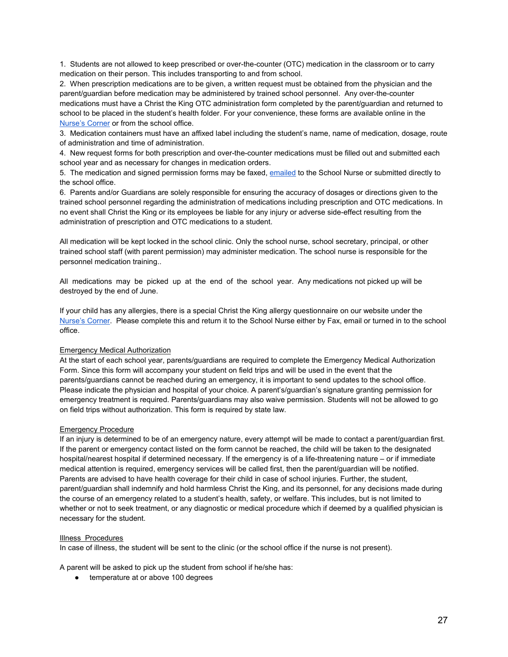1. Students are not allowed to keep prescribed or over-the-counter (OTC) medication in the classroom or to carry medication on their person. This includes transporting to and from school.

2. When prescription medications are to be given, a written request must be obtained from the physician and the parent/guardian before medication may be administered by trained school personnel. Any over-the-counter medications must have a Christ the King OTC administration form completed by the parent/guardian and returned to school to be placed in the student's health folder. For your convenience, these forms are available online in the [Nurse's Corner](https://www.ckschool.org/parents/nurses-corner) or from the school office.

3. Medication containers must have an affixed label including the student's name, name of medication, dosage, route of administration and time of administration.

4. New request forms for both prescription and over-the-counter medications must be filled out and submitted each school year and as necessary for changes in medication orders.

5. The medication and signed permission forms may be faxed, [emailed](mailto:rjagodzinski@cktoledo.org) to the School Nurse or submitted directly to the school office.

6. Parents and/or Guardians are solely responsible for ensuring the accuracy of dosages or directions given to the trained school personnel regarding the administration of medications including prescription and OTC medications. In no event shall Christ the King or its employees be liable for any injury or adverse side-effect resulting from the administration of prescription and OTC medications to a student.

All medication will be kept locked in the school clinic. Only the school nurse, school secretary, principal, or other trained school staff (with parent permission) may administer medication. The school nurse is responsible for the personnel medication training..

All medications may be picked up at the end of the school year. Any medications not picked up will be destroyed by the end of June.

If your child has any allergies, there is a special Christ the King allergy questionnaire on our website under the [Nurse's Corner.](https://www.ckschool.org/parents/nurses-corner) Please complete this and return it to the School Nurse either by Fax, email or turned in to the school office.

#### Emergency Medical Authorization

At the start of each school year, parents/guardians are required to complete the Emergency Medical Authorization Form. Since this form will accompany your student on field trips and will be used in the event that the parents/guardians cannot be reached during an emergency, it is important to send updates to the school office. Please indicate the physician and hospital of your choice. A parent's/guardian's signature granting permission for emergency treatment is required. Parents/guardians may also waive permission. Students will not be allowed to go on field trips without authorization. This form is required by state law.

#### Emergency Procedure

If an injury is determined to be of an emergency nature, every attempt will be made to contact a parent/guardian first. If the parent or emergency contact listed on the form cannot be reached, the child will be taken to the designated hospital/nearest hospital if determined necessary. If the emergency is of a life-threatening nature – or if immediate medical attention is required, emergency services will be called first, then the parent/guardian will be notified. Parents are advised to have health coverage for their child in case of school injuries. Further, the student, parent/guardian shall indemnify and hold harmless Christ the King, and its personnel, for any decisions made during the course of an emergency related to a student's health, safety, or welfare. This includes, but is not limited to whether or not to seek treatment, or any diagnostic or medical procedure which if deemed by a qualified physician is necessary for the student.

#### Illness Procedures

In case of illness, the student will be sent to the clinic (or the school office if the nurse is not present).

A parent will be asked to pick up the student from school if he/she has:

● temperature at or above 100 degrees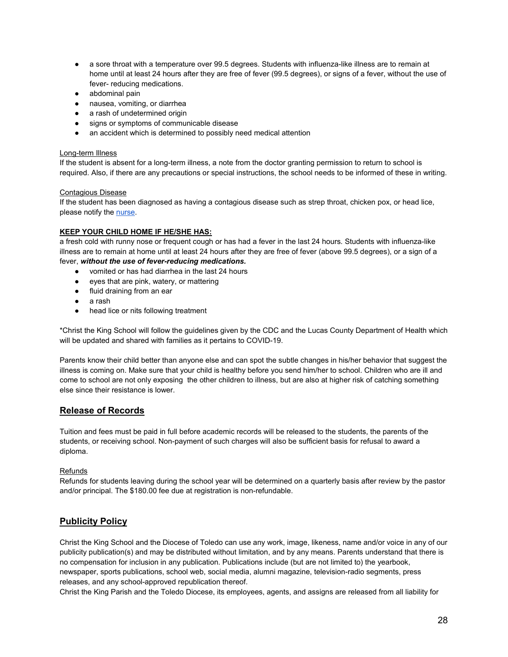- a sore throat with a temperature over 99.5 degrees. Students with influenza-like illness are to remain at home until at least 24 hours after they are free of fever (99.5 degrees), or signs of a fever, without the use of fever- reducing medications.
- abdominal pain
- nausea, vomiting, or diarrhea
- a rash of undetermined origin
- signs or symptoms of communicable disease
- an accident which is determined to possibly need medical attention

### Long-term Illness

If the student is absent for a long-term illness, a note from the doctor granting permission to return to school is required. Also, if there are any precautions or special instructions, the school needs to be informed of these in writing.

### Contagious Disease

If the student has been diagnosed as having a contagious disease such as strep throat, chicken pox, or head lice, please notify the [nurse.](mailto:rjagodzinski@cktoledo.org)

### **KEEP YOUR CHILD HOME IF HE/SHE HAS:**

a fresh cold with runny nose or frequent cough or has had a fever in the last 24 hours. Students with influenza-like illness are to remain at home until at least 24 hours after they are free of fever (above 99.5 degrees), or a sign of a fever, *without the use of fever-reducing medications.*

- vomited or has had diarrhea in the last 24 hours
- eyes that are pink, watery, or mattering
- fluid draining from an ear
- a rash
- head lice or nits following treatment

\*Christ the King School will follow the guidelines given by the CDC and the Lucas County Department of Health which will be updated and shared with families as it pertains to COVID-19.

Parents know their child better than anyone else and can spot the subtle changes in his/her behavior that suggest the illness is coming on. Make sure that your child is healthy before you send him/her to school. Children who are ill and come to school are not only exposing the other children to illness, but are also at higher risk of catching something else since their resistance is lower.

# **Release of Records**

Tuition and fees must be paid in full before academic records will be released to the students, the parents of the students, or receiving school. Non-payment of such charges will also be sufficient basis for refusal to award a diploma.

# Refunds

Refunds for students leaving during the school year will be determined on a quarterly basis after review by the pastor and/or principal. The \$180.00 fee due at registration is non-refundable.

# **Publicity Policy**

Christ the King School and the Diocese of Toledo can use any work, image, likeness, name and/or voice in any of our publicity publication(s) and may be distributed without limitation, and by any means. Parents understand that there is no compensation for inclusion in any publication. Publications include (but are not limited to) the yearbook, newspaper, sports publications, school web, social media, alumni magazine, television-radio segments, press releases, and any school-approved republication thereof.

Christ the King Parish and the Toledo Diocese, its employees, agents, and assigns are released from all liability for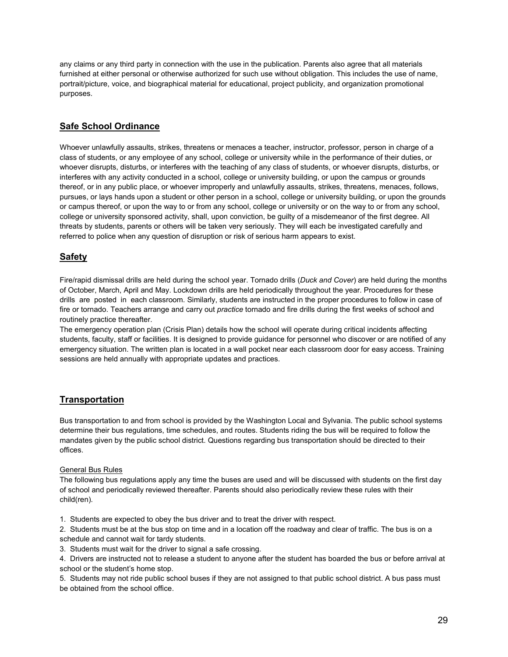any claims or any third party in connection with the use in the publication. Parents also agree that all materials furnished at either personal or otherwise authorized for such use without obligation. This includes the use of name, portrait/picture, voice, and biographical material for educational, project publicity, and organization promotional purposes.

# **Safe School Ordinance**

Whoever unlawfully assaults, strikes, threatens or menaces a teacher, instructor, professor, person in charge of a class of students, or any employee of any school, college or university while in the performance of their duties, or whoever disrupts, disturbs, or interferes with the teaching of any class of students, or whoever disrupts, disturbs, or interferes with any activity conducted in a school, college or university building, or upon the campus or grounds thereof, or in any public place, or whoever improperly and unlawfully assaults, strikes, threatens, menaces, follows, pursues, or lays hands upon a student or other person in a school, college or university building, or upon the grounds or campus thereof, or upon the way to or from any school, college or university or on the way to or from any school, college or university sponsored activity, shall, upon conviction, be guilty of a misdemeanor of the first degree. All threats by students, parents or others will be taken very seriously. They will each be investigated carefully and referred to police when any question of disruption or risk of serious harm appears to exist.

# **Safety**

Fire/rapid dismissal drills are held during the school year. Tornado drills (*Duck and Cover*) are held during the months of October, March, April and May. Lockdown drills are held periodically throughout the year. Procedures for these drills are posted in each classroom. Similarly, students are instructed in the proper procedures to follow in case of fire or tornado. Teachers arrange and carry out *practice* tornado and fire drills during the first weeks of school and routinely practice thereafter.

The emergency operation plan (Crisis Plan) details how the school will operate during critical incidents affecting students, faculty, staff or facilities. It is designed to provide guidance for personnel who discover or are notified of any emergency situation. The written plan is located in a wall pocket near each classroom door for easy access. Training sessions are held annually with appropriate updates and practices.

# **Transportation**

Bus transportation to and from school is provided by the Washington Local and Sylvania. The public school systems determine their bus regulations, time schedules, and routes. Students riding the bus will be required to follow the mandates given by the public school district. Questions regarding bus transportation should be directed to their offices.

# General Bus Rules

The following bus regulations apply any time the buses are used and will be discussed with students on the first day of school and periodically reviewed thereafter. Parents should also periodically review these rules with their child(ren).

1. Students are expected to obey the bus driver and to treat the driver with respect.

2. Students must be at the bus stop on time and in a location off the roadway and clear of traffic. The bus is on a schedule and cannot wait for tardy students.

3. Students must wait for the driver to signal a safe crossing.

4. Drivers are instructed not to release a student to anyone after the student has boarded the bus or before arrival at school or the student's home stop.

5. Students may not ride public school buses if they are not assigned to that public school district. A bus pass must be obtained from the school office.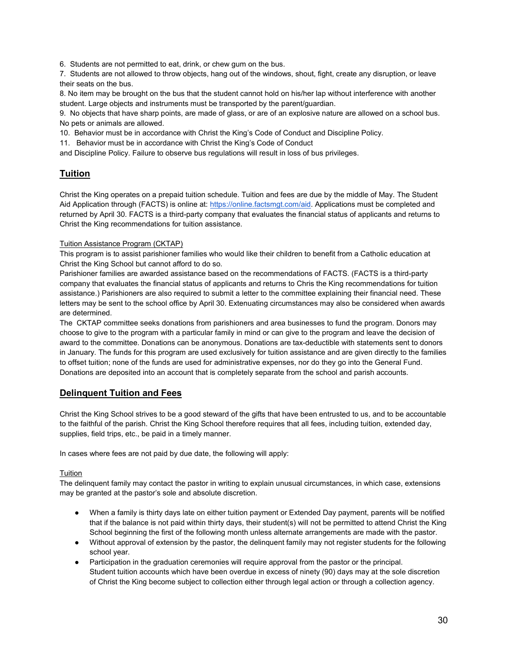6. Students are not permitted to eat, drink, or chew gum on the bus.

7. Students are not allowed to throw objects, hang out of the windows, shout, fight, create any disruption, or leave their seats on the bus.

8. No item may be brought on the bus that the student cannot hold on his/her lap without interference with another student. Large objects and instruments must be transported by the parent/guardian.

9. No objects that have sharp points, are made of glass, or are of an explosive nature are allowed on a school bus. No pets or animals are allowed.

10. Behavior must be in accordance with Christ the King's Code of Conduct and Discipline Policy.

11. Behavior must be in accordance with Christ the King's Code of Conduct

and Discipline Policy. Failure to observe bus regulations will result in loss of bus privileges.

# **Tuition**

Christ the King operates on a prepaid tuition schedule. Tuition and fees are due by the middle of May. The Student Aid Application through (FACTS) is online at: [https://online.factsmgt.com/aid.](https://online.factsmgt.com/aid) Applications must be completed and returned by April 30. FACTS is a third-party company that evaluates the financial status of applicants and returns to Christ the King recommendations for tuition assistance.

# Tuition Assistance Program (CKTAP)

This program is to assist parishioner families who would like their children to benefit from a Catholic education at Christ the King School but cannot afford to do so.

Parishioner families are awarded assistance based on the recommendations of FACTS. (FACTS is a third-party company that evaluates the financial status of applicants and returns to Chris the King recommendations for tuition assistance.) Parishioners are also required to submit a letter to the committee explaining their financial need. These letters may be sent to the school office by April 30. Extenuating circumstances may also be considered when awards are determined.

The CKTAP committee seeks donations from parishioners and area businesses to fund the program. Donors may choose to give to the program with a particular family in mind or can give to the program and leave the decision of award to the committee. Donations can be anonymous. Donations are tax-deductible with statements sent to donors in January. The funds for this program are used exclusively for tuition assistance and are given directly to the families to offset tuition; none of the funds are used for administrative expenses, nor do they go into the General Fund. Donations are deposited into an account that is completely separate from the school and parish accounts.

# **Delinquent Tuition and Fees**

Christ the King School strives to be a good steward of the gifts that have been entrusted to us, and to be accountable to the faithful of the parish. Christ the King School therefore requires that all fees, including tuition, extended day, supplies, field trips, etc., be paid in a timely manner.

In cases where fees are not paid by due date, the following will apply:

# **Tuition**

The delinquent family may contact the pastor in writing to explain unusual circumstances, in which case, extensions may be granted at the pastor's sole and absolute discretion.

- When a family is thirty days late on either tuition payment or Extended Day payment, parents will be notified that if the balance is not paid within thirty days, their student(s) will not be permitted to attend Christ the King School beginning the first of the following month unless alternate arrangements are made with the pastor.
- Without approval of extension by the pastor, the delinquent family may not register students for the following school year.
- Participation in the graduation ceremonies will require approval from the pastor or the principal. Student tuition accounts which have been overdue in excess of ninety (90) days may at the sole discretion of Christ the King become subject to collection either through legal action or through a collection agency.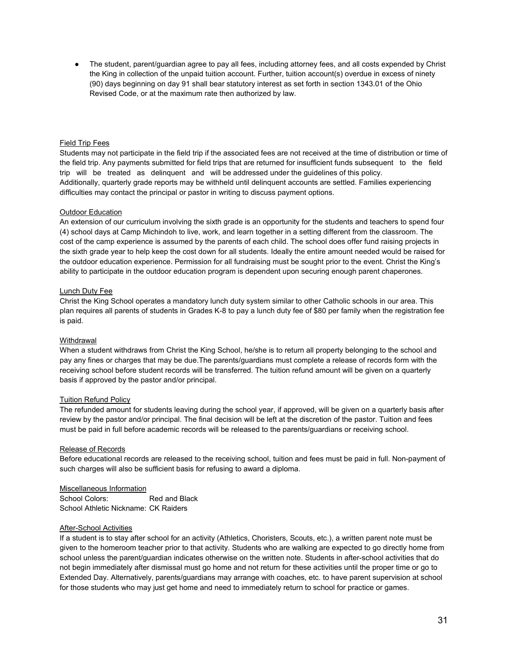● The student, parent/guardian agree to pay all fees, including attorney fees, and all costs expended by Christ the King in collection of the unpaid tuition account. Further, tuition account(s) overdue in excess of ninety (90) days beginning on day 91 shall bear statutory interest as set forth in section 1343.01 of the Ohio Revised Code, or at the maximum rate then authorized by law.

#### Field Trip Fees

Students may not participate in the field trip if the associated fees are not received at the time of distribution or time of the field trip. Any payments submitted for field trips that are returned for insufficient funds subsequent to the field trip will be treated as delinquent and will be addressed under the guidelines of this policy. Additionally, quarterly grade reports may be withheld until delinquent accounts are settled. Families experiencing difficulties may contact the principal or pastor in writing to discuss payment options.

#### Outdoor Education

An extension of our curriculum involving the sixth grade is an opportunity for the students and teachers to spend four (4) school days at Camp Michindoh to live, work, and learn together in a setting different from the classroom. The cost of the camp experience is assumed by the parents of each child. The school does offer fund raising projects in the sixth grade year to help keep the cost down for all students. Ideally the entire amount needed would be raised for the outdoor education experience. Permission for all fundraising must be sought prior to the event. Christ the King's ability to participate in the outdoor education program is dependent upon securing enough parent chaperones.

### Lunch Duty Fee

Christ the King School operates a mandatory lunch duty system similar to other Catholic schools in our area. This plan requires all parents of students in Grades K-8 to pay a lunch duty fee of \$80 per family when the registration fee is paid.

#### **Withdrawal**

When a student withdraws from Christ the King School, he/she is to return all property belonging to the school and pay any fines or charges that may be due.The parents/guardians must complete a release of records form with the receiving school before student records will be transferred. The tuition refund amount will be given on a quarterly basis if approved by the pastor and/or principal.

#### Tuition Refund Policy

The refunded amount for students leaving during the school year, if approved, will be given on a quarterly basis after review by the pastor and/or principal. The final decision will be left at the discretion of the pastor. Tuition and fees must be paid in full before academic records will be released to the parents/guardians or receiving school.

#### Release of Records

Before educational records are released to the receiving school, tuition and fees must be paid in full. Non-payment of such charges will also be sufficient basis for refusing to award a diploma.

#### Miscellaneous Information

School Colors: Red and Black School Athletic Nickname: CK Raiders

### After-School Activities

If a student is to stay after school for an activity (Athletics, Choristers, Scouts, etc.), a written parent note must be given to the homeroom teacher prior to that activity. Students who are walking are expected to go directly home from school unless the parent/guardian indicates otherwise on the written note. Students in after-school activities that do not begin immediately after dismissal must go home and not return for these activities until the proper time or go to Extended Day. Alternatively, parents/guardians may arrange with coaches, etc. to have parent supervision at school for those students who may just get home and need to immediately return to school for practice or games.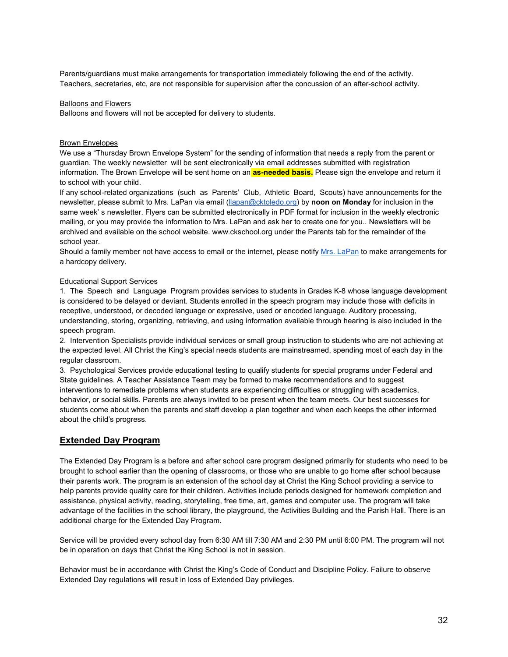Parents/guardians must make arrangements for transportation immediately following the end of the activity. Teachers, secretaries, etc, are not responsible for supervision after the concussion of an after-school activity.

#### Balloons and Flowers

Balloons and flowers will not be accepted for delivery to students.

#### Brown Envelopes

We use a "Thursday Brown Envelope System" for the sending of information that needs a reply from the parent or guardian. The weekly newsletter will be sent electronically via email addresses submitted with registration information. The Brown Envelope will be sent home on an **as-needed basis.** Please sign the envelope and return it to school with your child.

If any school-related organizations (such as Parents' Club, Athletic Board, Scouts) have announcements for the newsletter, please submit to Mrs. LaPan via email [\(llapan@cktoledo.org\)](mailto:llapan@cktoledo.org) by **noon on Monday** for inclusion in the same week' s newsletter. Flyers can be submitted electronically in PDF format for inclusion in the weekly electronic mailing, or you may provide the information to Mrs. LaPan and ask her to create one for you.. Newsletters will be archived and available on the school website. www.ckschool.org under the Parents tab for the remainder of the school year.

Should a family member not have access to email or the internet, please notif[y Mrs. LaPan](mailto:llapan@cktoledo.org) to make arrangements for a hardcopy delivery.

#### Educational Support Services

1. The Speech and Language Program provides services to students in Grades K-8 whose language development is considered to be delayed or deviant. Students enrolled in the speech program may include those with deficits in receptive, understood, or decoded language or expressive, used or encoded language. Auditory processing, understanding, storing, organizing, retrieving, and using information available through hearing is also included in the speech program.

2. Intervention Specialists provide individual services or small group instruction to students who are not achieving at the expected level. All Christ the King's special needs students are mainstreamed, spending most of each day in the regular classroom.

3. Psychological Services provide educational testing to qualify students for special programs under Federal and State guidelines. A Teacher Assistance Team may be formed to make recommendations and to suggest interventions to remediate problems when students are experiencing difficulties or struggling with academics, behavior, or social skills. Parents are always invited to be present when the team meets. Our best successes for students come about when the parents and staff develop a plan together and when each keeps the other informed about the child's progress.

# **Extended Day Program**

The Extended Day Program is a before and after school care program designed primarily for students who need to be brought to school earlier than the opening of classrooms, or those who are unable to go home after school because their parents work. The program is an extension of the school day at Christ the King School providing a service to help parents provide quality care for their children. Activities include periods designed for homework completion and assistance, physical activity, reading, storytelling, free time, art, games and computer use. The program will take advantage of the facilities in the school library, the playground, the Activities Building and the Parish Hall. There is an additional charge for the Extended Day Program.

Service will be provided every school day from 6:30 AM till 7:30 AM and 2:30 PM until 6:00 PM. The program will not be in operation on days that Christ the King School is not in session.

Behavior must be in accordance with Christ the King's Code of Conduct and Discipline Policy. Failure to observe Extended Day regulations will result in loss of Extended Day privileges.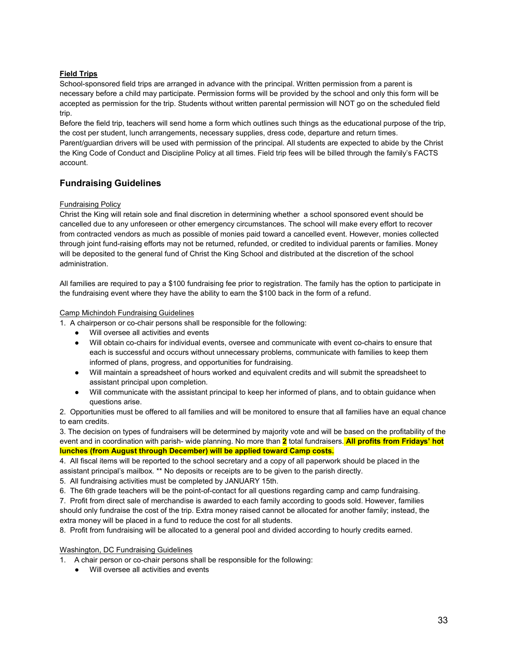# **Field Trips**

School-sponsored field trips are arranged in advance with the principal. Written permission from a parent is necessary before a child may participate. Permission forms will be provided by the school and only this form will be accepted as permission for the trip. Students without written parental permission will NOT go on the scheduled field trip.

Before the field trip, teachers will send home a form which outlines such things as the educational purpose of the trip, the cost per student, lunch arrangements, necessary supplies, dress code, departure and return times. Parent/guardian drivers will be used with permission of the principal. All students are expected to abide by the Christ the King Code of Conduct and Discipline Policy at all times. Field trip fees will be billed through the family's FACTS account.

# **Fundraising Guidelines**

# Fundraising Policy

Christ the King will retain sole and final discretion in determining whether a school sponsored event should be cancelled due to any unforeseen or other emergency circumstances. The school will make every effort to recover from contracted vendors as much as possible of monies paid toward a cancelled event. However, monies collected through joint fund-raising efforts may not be returned, refunded, or credited to individual parents or families. Money will be deposited to the general fund of Christ the King School and distributed at the discretion of the school administration.

All families are required to pay a \$100 fundraising fee prior to registration. The family has the option to participate in the fundraising event where they have the ability to earn the \$100 back in the form of a refund.

### Camp Michindoh Fundraising Guidelines

1. A chairperson or co-chair persons shall be responsible for the following:

- Will oversee all activities and events
- Will obtain co-chairs for individual events, oversee and communicate with event co-chairs to ensure that each is successful and occurs without unnecessary problems, communicate with families to keep them informed of plans, progress, and opportunities for fundraising.
- Will maintain a spreadsheet of hours worked and equivalent credits and will submit the spreadsheet to assistant principal upon completion.
- Will communicate with the assistant principal to keep her informed of plans, and to obtain guidance when questions arise.

2. Opportunities must be offered to all families and will be monitored to ensure that all families have an equal chance to earn credits.

3. The decision on types of fundraisers will be determined by majority vote and will be based on the profitability of the event and in coordination with parish- wide planning. No more than **2** total fundraisers. **All profits from Fridays' hot lunches (from August through December) will be applied toward Camp costs.**

4. All fiscal items will be reported to the school secretary and a copy of all paperwork should be placed in the assistant principal's mailbox. \*\* No deposits or receipts are to be given to the parish directly.

5. All fundraising activities must be completed by JANUARY 15th.

6. The 6th grade teachers will be the point-of-contact for all questions regarding camp and camp fundraising.

7. Profit from direct sale of merchandise is awarded to each family according to goods sold. However, families should only fundraise the cost of the trip. Extra money raised cannot be allocated for another family; instead, the extra money will be placed in a fund to reduce the cost for all students.

8. Profit from fundraising will be allocated to a general pool and divided according to hourly credits earned.

# Washington, DC Fundraising Guidelines

- 1. A chair person or co-chair persons shall be responsible for the following:
	- Will oversee all activities and events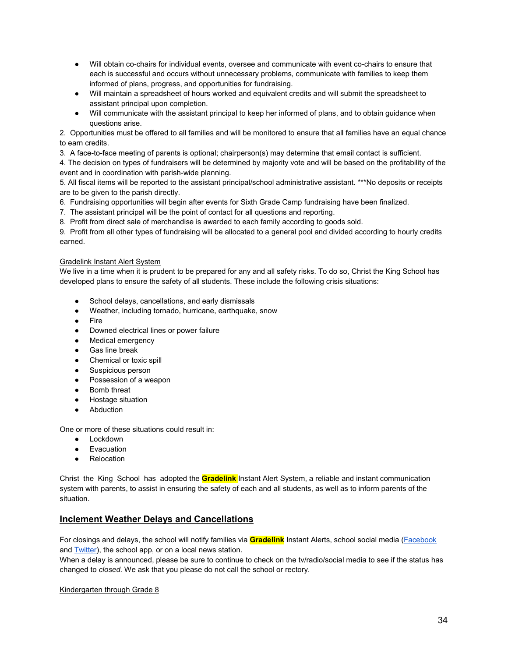- Will obtain co-chairs for individual events, oversee and communicate with event co-chairs to ensure that each is successful and occurs without unnecessary problems, communicate with families to keep them informed of plans, progress, and opportunities for fundraising.
- Will maintain a spreadsheet of hours worked and equivalent credits and will submit the spreadsheet to assistant principal upon completion.
- Will communicate with the assistant principal to keep her informed of plans, and to obtain guidance when questions arise.

2. Opportunities must be offered to all families and will be monitored to ensure that all families have an equal chance to earn credits.

3. A face-to-face meeting of parents is optional; chairperson(s) may determine that email contact is sufficient.

4. The decision on types of fundraisers will be determined by majority vote and will be based on the profitability of the event and in coordination with parish-wide planning.

5. All fiscal items will be reported to the assistant principal/school administrative assistant. \*\*\*No deposits or receipts are to be given to the parish directly.

6. Fundraising opportunities will begin after events for Sixth Grade Camp fundraising have been finalized.

7. The assistant principal will be the point of contact for all questions and reporting.

8. Profit from direct sale of merchandise is awarded to each family according to goods sold.

9. Profit from all other types of fundraising will be allocated to a general pool and divided according to hourly credits earned.

# Gradelink Instant Alert System

We live in a time when it is prudent to be prepared for any and all safety risks. To do so, Christ the King School has developed plans to ensure the safety of all students. These include the following crisis situations:

- School delays, cancellations, and early dismissals
- Weather, including tornado, hurricane, earthquake, snow
- Fire
- Downed electrical lines or power failure
- Medical emergency
- Gas line break
- Chemical or toxic spill
- Suspicious person
- Possession of a weapon
- **Bomb threat**
- Hostage situation
- Abduction

One or more of these situations could result in:

- Lockdown
- Evacuation
- Relocation

Christ the King School has adopted the **Gradelink** Instant Alert System, a reliable and instant communication system with parents, to assist in ensuring the safety of each and all students, as well as to inform parents of the situation.

# **Inclement Weather Delays and Cancellations**

For closings and delays, the school will notify families via **Gradelink** Instant Alerts, school social media [\(Facebook](https://www.facebook.com/CKSchoolToledo)  an[d Twitter\)](https://twitter.com/CKtheSchool), the school app, or on a local news station.

When a delay is announced, please be sure to continue to check on the tv/radio/social media to see if the status has changed to *closed.* We ask that you please do not call the school or rectory.

# Kindergarten through Grade 8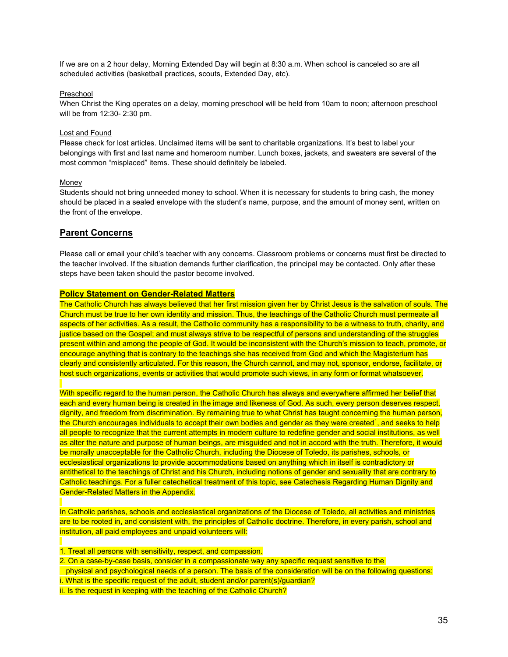If we are on a 2 hour delay, Morning Extended Day will begin at 8:30 a.m. When school is canceled so are all scheduled activities (basketball practices, scouts, Extended Day, etc).

### Preschool

When Christ the King operates on a delay, morning preschool will be held from 10am to noon; afternoon preschool will be from 12:30- 2:30 pm.

### Lost and Found

Please check for lost articles. Unclaimed items will be sent to charitable organizations. It's best to label your belongings with first and last name and homeroom number. Lunch boxes, jackets, and sweaters are several of the most common "misplaced" items. These should definitely be labeled.

### Money

Students should not bring unneeded money to school. When it is necessary for students to bring cash, the money should be placed in a sealed envelope with the student's name, purpose, and the amount of money sent, written on the front of the envelope.

# **Parent Concerns**

Please call or email your child's teacher with any concerns. Classroom problems or concerns must first be directed to the teacher involved. If the situation demands further clarification, the principal may be contacted. Only after these steps have been taken should the pastor become involved.

# **Policy Statement on Gender-Related Matters**

The Catholic Church has always believed that her first mission given her by Christ Jesus is the salvation of souls. The Church must be true to her own identity and mission. Thus, the teachings of the Catholic Church must permeate all aspects of her activities. As a result, the Catholic community has a responsibility to be a witness to truth, charity, and justice based on the Gospel; and must always strive to be respectful of persons and understanding of the struggles present within and among the people of God. It would be inconsistent with the Church's mission to teach, promote, or encourage anything that is contrary to the teachings she has received from God and which the Magisterium has clearly and consistently articulated. For this reason, the Church cannot, and may not, sponsor, endorse, facilitate, or host such organizations, events or activities that would promote such views, in any form or format whatsoever.

With specific regard to the human person, the Catholic Church has always and everywhere affirmed her belief that each and every human being is created in the image and likeness of God. As such, every person deserves respect, dignity, and freedom from discrimination. By remaining true to what Christ has taught concerning the human person, the Church encourages individuals to accept their own bodies and gender as they were created<sup>1</sup>, and seeks to help all people to recognize that the current attempts in modern culture to redefine gender and social institutions, as well as alter the nature and purpose of human beings, are misguided and not in accord with the truth. Therefore, it would be morally unacceptable for the Catholic Church, including the Diocese of Toledo, its parishes, schools, or ecclesiastical organizations to provide accommodations based on anything which in itself is contradictory or antithetical to the teachings of Christ and his Church, including notions of gender and sexuality that are contrary to Catholic teachings. For a fuller catechetical treatment of this topic, see Catechesis Regarding Human Dignity and Gender-Related Matters in the Appendix.

In Catholic parishes, schools and ecclesiastical organizations of the Diocese of Toledo, all activities and ministries are to be rooted in, and consistent with, the principles of Catholic doctrine. Therefore, in every parish, school and institution, all paid employees and unpaid volunteers will:

- 1. Treat all persons with sensitivity, respect, and compassion.
- 2. On a case-by-case basis, consider in a compassionate way any specific request sensitive to the

physical and psychological needs of a person. The basis of the consideration will be on the following questions: i. What is the specific request of the adult, student and/or parent(s)/quardian?

ii. Is the request in keeping with the teaching of the Catholic Church?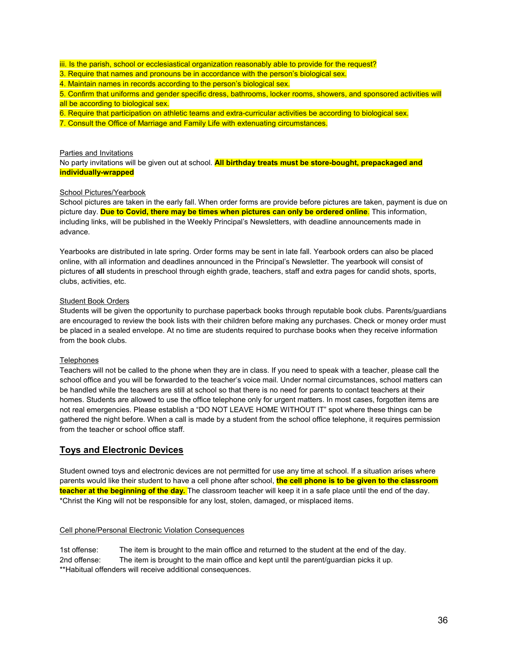iii. Is the parish, school or ecclesiastical organization reasonably able to provide for the request?

3. Require that names and pronouns be in accordance with the person's biological sex.

4. Maintain names in records according to the person's biological sex.

5. Confirm that uniforms and gender specific dress, bathrooms, locker rooms, showers, and sponsored activities will all be according to biological sex.

6. Require that participation on athletic teams and extra-curricular activities be according to biological sex.

7. Consult the Office of Marriage and Family Life with extenuating circumstances.

#### Parties and Invitations

No party invitations will be given out at school. **All birthday treats must be store-bought, prepackaged and individually-wrapped**

### School Pictures/Yearbook

School pictures are taken in the early fall. When order forms are provide before pictures are taken, payment is due on picture day. **Due to Covid, there may be times when pictures can only be ordered online**. This information, including links, will be published in the Weekly Principal's Newsletters, with deadline announcements made in advance.

Yearbooks are distributed in late spring. Order forms may be sent in late fall. Yearbook orders can also be placed online, with all information and deadlines announced in the Principal's Newsletter. The yearbook will consist of pictures of **all** students in preschool through eighth grade, teachers, staff and extra pages for candid shots, sports, clubs, activities, etc.

### Student Book Orders

Students will be given the opportunity to purchase paperback books through reputable book clubs. Parents/guardians are encouraged to review the book lists with their children before making any purchases. Check or money order must be placed in a sealed envelope. At no time are students required to purchase books when they receive information from the book clubs.

#### **Telephones**

Teachers will not be called to the phone when they are in class. If you need to speak with a teacher, please call the school office and you will be forwarded to the teacher's voice mail. Under normal circumstances, school matters can be handled while the teachers are still at school so that there is no need for parents to contact teachers at their homes. Students are allowed to use the office telephone only for urgent matters. In most cases, forgotten items are not real emergencies. Please establish a "DO NOT LEAVE HOME WITHOUT IT" spot where these things can be gathered the night before. When a call is made by a student from the school office telephone, it requires permission from the teacher or school office staff.

# **Toys and Electronic Devices**

Student owned toys and electronic devices are not permitted for use any time at school. If a situation arises where parents would like their student to have a cell phone after school, **the cell phone is to be given to the classroom teacher at the beginning of the day.** The classroom teacher will keep it in a safe place until the end of the day. \*Christ the King will not be responsible for any lost, stolen, damaged, or misplaced items.

#### Cell phone/Personal Electronic Violation Consequences

1st offense: The item is brought to the main office and returned to the student at the end of the day. 2nd offense: The item is brought to the main office and kept until the parent/guardian picks it up. \*\*Habitual offenders will receive additional consequences.